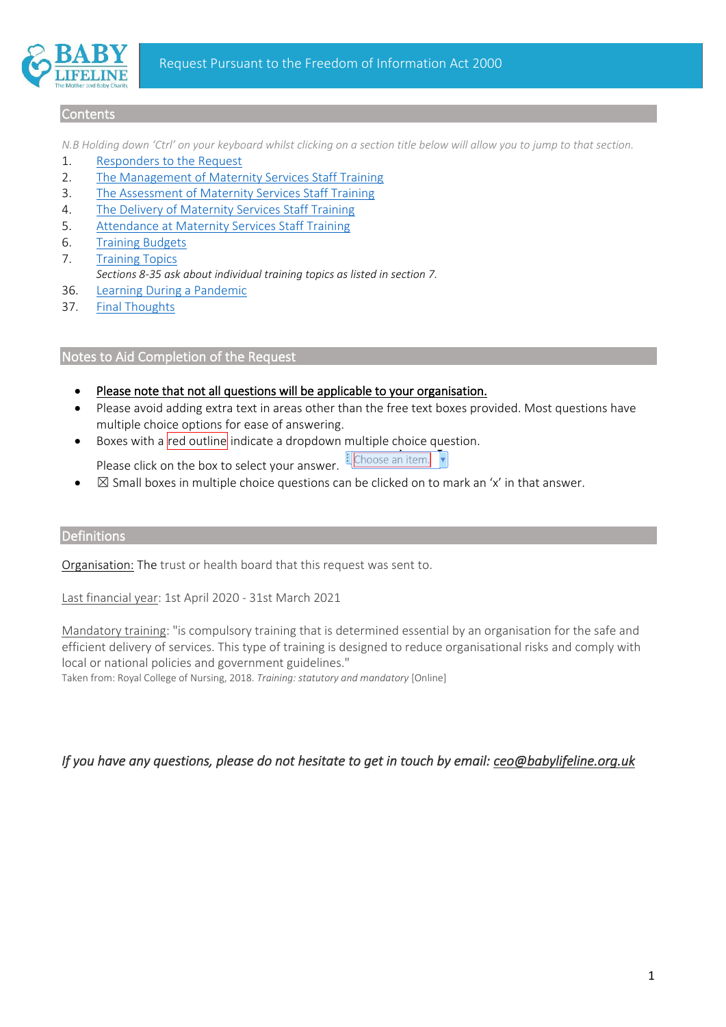

#### **Contents**

*N.B Holding down 'Ctrl' on your keyboard whilst clicking on a section title below will allow you to jump to that section.* 

- 1. [Responders to the Request](#page-1-0)
- 2. [The Management of Maternity Services Staff Training](#page-1-1)
- 3. [The Assessment of Maternity Services Staff Training](#page-2-0)
- 4. [The Delivery of Maternity Services Staff Training](#page-4-0)
- 5. [Attendance at Maternity Services Staff Training](#page-5-0)
- 6. [Training Budgets](#page-5-1)
- 7. [Training Topics](#page-6-0)
- *Sections 8-35 ask about individual training topics as listed in section 7.*
- 36. [Learning During a Pandemic](#page-45-0)
- 37. [Final Thoughts](#page-47-0)

### Notes to Aid Completion of the Request

- Please note that not all questions will be applicable to your organisation.
- Please avoid adding extra text in areas other than the free text boxes provided. Most questions have multiple choice options for ease of answering.
- Boxes with a red outline indicate a dropdown multiple choice question. Please click on the box to select your answer. LChoose an item.
- $\bullet$   $\boxtimes$  Small boxes in multiple choice questions can be clicked on to mark an 'x' in that answer.

### **Definitions**

Organisation: The trust or health board that this request was sent to.

Last financial year: 1st April 2020 - 31st March 2021

Mandatory training: "is compulsory training that is determined essential by an organisation for the safe and efficient delivery of services. This type of training is designed to reduce organisational risks and comply with local or national policies and government guidelines."

Taken from: Royal College of Nursing, 2018. *Training: statutory and mandatory* [Online]

*If you have any questions, please do not hesitate to get in touch by email: ceo@babylifeline.org.uk*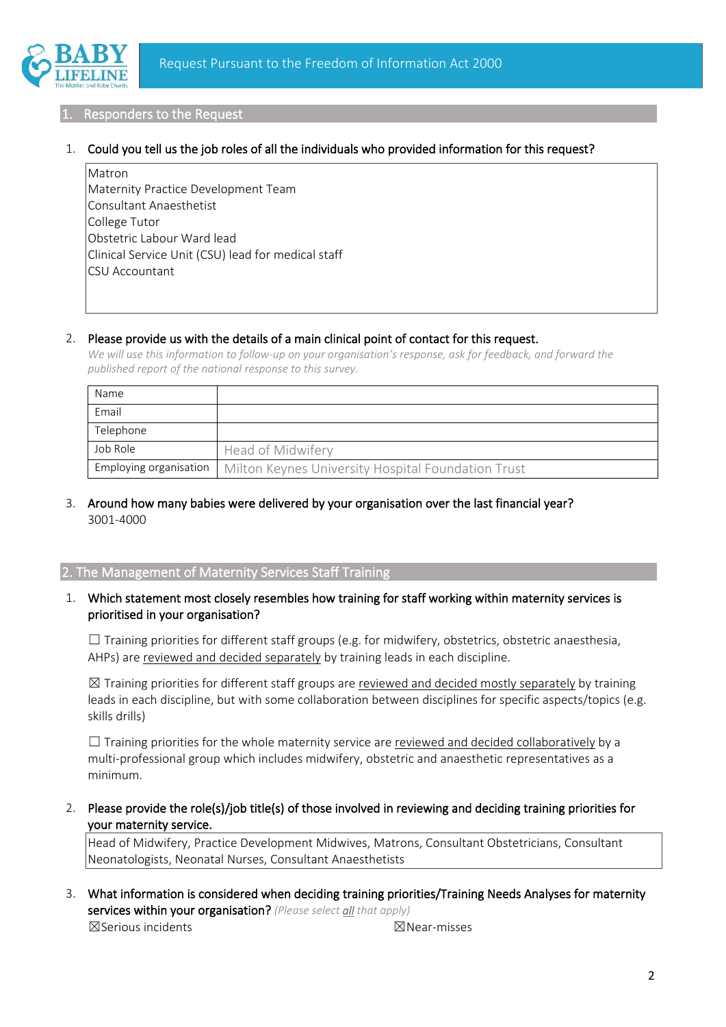

#### <span id="page-1-0"></span>1. Responders to the Request

1. Could you tell us the job roles of all the individuals who provided information for this request?

Matron Maternity Practice Development Team Consultant Anaesthetist College Tutor Obstetric Labour Ward lead Clinical Service Unit (CSU) lead for medical staff CSU Accountant

#### 2. Please provide us with the details of a main clinical point of contact for this request.

*We will use this information to follow-up on your organisation's response, ask for feedback, and forward the published report of the national response to this survey.*   $\overline{a}$ 

| <b>Name</b>            |                                                    |
|------------------------|----------------------------------------------------|
| Email                  |                                                    |
| Telephone              |                                                    |
| Job Role               | Head of Midwifery                                  |
| Employing organisation | Milton Keynes University Hospital Foundation Trust |

### 3. Around how many babies were delivered by your organisation over the last financial year? 3001-4000

#### <span id="page-1-1"></span>2. The Management of Maternity Services Staff Training

1. Which statement most closely resembles how training for staff working within maternity services is prioritised in your organisation?

 $\Box$  Training priorities for different staff groups (e.g. for midwifery, obstetrics, obstetric anaesthesia, AHPs) are reviewed and decided separately by training leads in each discipline.

 $\boxtimes$  Training priorities for different staff groups are reviewed and decided mostly separately by training leads in each discipline, but with some collaboration between disciplines for specific aspects/topics (e.g. skills drills)

 $\Box$  Training priorities for the whole maternity service are reviewed and decided collaboratively by a multi-professional group which includes midwifery, obstetric and anaesthetic representatives as a minimum.

2. Please provide the role(s)/job title(s) of those involved in reviewing and deciding training priorities for your maternity service.

Head of Midwifery, Practice Development Midwives, Matrons, Consultant Obstetricians, Consultant Neonatologists, Neonatal Nurses, Consultant Anaesthetists

3. What information is considered when deciding training priorities/Training Needs Analyses for maternity services within your organisation? *(Please select all that apply)*  $\boxtimes$ Serious incidents  $\boxtimes$ Near-misses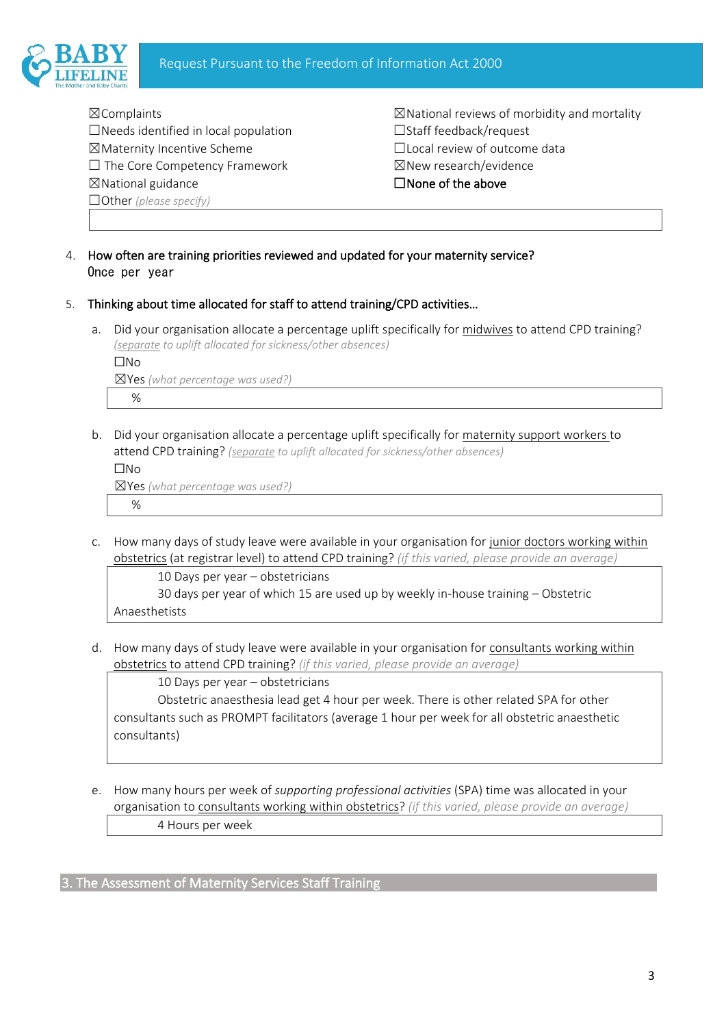

☒Complaints

☐Needs identified in local population ☒Maternity Incentive Scheme ☐ The Core Competency Framework ☒National guidance ☐Other *(please specify)*

☒National reviews of morbidity and mortality ☐Staff feedback/request ☐Local review of outcome data ☒New research/evidence ☐None of the above

- 4. How often are training priorities reviewed and updated for your maternity service? Once per year
- 5. Thinking about time allocated for staff to attend training/CPD activities…
	- a. Did your organisation allocate a percentage uplift specifically for midwives to attend CPD training? *(separate to uplift allocated for sickness/other absences)* ☐No

☒Yes *(what percentage was used?)* %

b. Did your organisation allocate a percentage uplift specifically for maternity support workers to attend CPD training? *(separate to uplift allocated for sickness/other absences)* ☐No

☒Yes *(what percentage was used?)*



c. How many days of study leave were available in your organisation for junior doctors working within obstetrics (at registrar level) to attend CPD training? *(if this varied, please provide an average)*

10 Days per year – obstetricians 30 days per year of which 15 are used up by weekly in-house training – Obstetric Anaesthetists

d. How many days of study leave were available in your organisation for consultants working within obstetrics to attend CPD training? *(if this varied, please provide an average)*

10 Days per year – obstetricians

Obstetric anaesthesia lead get 4 hour per week. There is other related SPA for other consultants such as PROMPT facilitators (average 1 hour per week for all obstetric anaesthetic consultants)

e. How many hours per week of *supporting professional activities* (SPA) time was allocated in your organisation to consultants working within obstetrics? *(if this varied, please provide an average)* 4 Hours per week

<span id="page-2-0"></span>3. The Assessment of Maternity Services Staff Training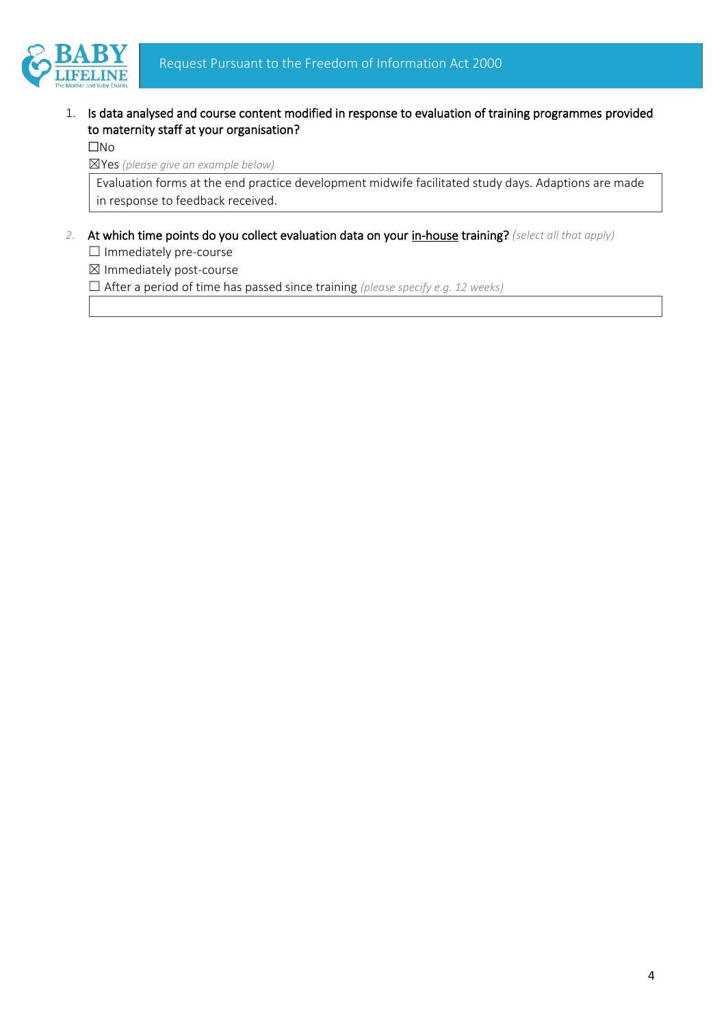

1. Is data analysed and course content modified in response to evaluation of training programmes provided to maternity staff at your organisation?

☐No

☒Yes *(please give an example below)*

Evaluation forms at the end practice development midwife facilitated study days. Adaptions are made in response to feedback received.

## *2.* At which time points do you collect evaluation data on your in-house training? *(select all that apply)*

□ Immediately pre-course

☒ Immediately post-course

☐ After a period of time has passed since training *(please specify e.g. 12 weeks)*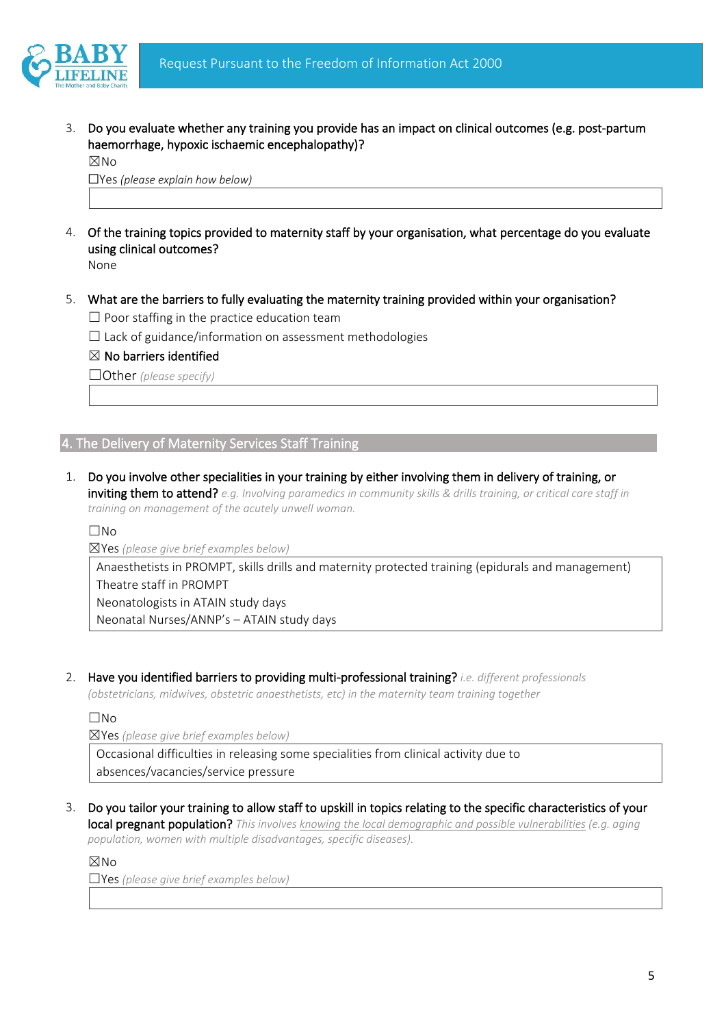

3. Do you evaluate whether any training you provide has an impact on clinical outcomes (e.g. post-partum haemorrhage, hypoxic ischaemic encephalopathy)?

 $\n **W**$ 

☐Yes *(please explain how below)*

4. Of the training topics provided to maternity staff by your organisation, what percentage do you evaluate using clinical outcomes?

None

5. What are the barriers to fully evaluating the maternity training provided within your organisation?

 $\Box$  Poor staffing in the practice education team

- $\Box$  Lack of guidance/information on assessment methodologies
- $\boxtimes$  No barriers identified

☐Other *(please specify)*

### <span id="page-4-0"></span>4. The Delivery of Maternity Services Staff Training

1. Do you involve other specialities in your training by either involving them in delivery of training, or inviting them to attend? *e.g. Involving paramedics in community skills & drills training, or critical care staff in training on management of the acutely unwell woman.* 

 $\Box$ No

☒Yes *(please give brief examples below)*

Anaesthetists in PROMPT, skills drills and maternity protected training (epidurals and management) Theatre staff in PROMPT

Neonatologists in ATAIN study days

Neonatal Nurses/ANNP's – ATAIN study days

2. Have you identified barriers to providing multi-professional training? *i.e. different professionals* 

*(obstetricians, midwives, obstetric anaesthetists, etc) in the maternity team training together*

☐No

☒Yes *(please give brief examples below)*

Occasional difficulties in releasing some specialities from clinical activity due to absences/vacancies/service pressure

3. Do you tailor your training to allow staff to upskill in topics relating to the specific characteristics of your local pregnant population? *This involves knowing the local demographic and possible vulnerabilities (e.g. aging* 

*population, women with multiple disadvantages, specific diseases).*

☒No

☐Yes *(please give brief examples below)*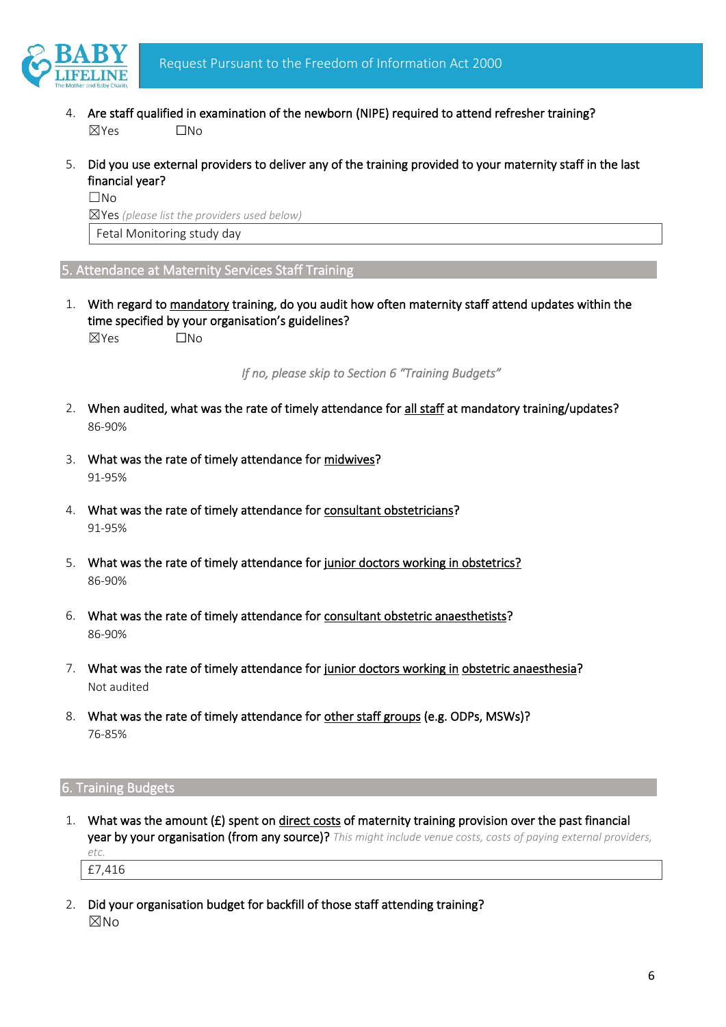

- 4. Are staff qualified in examination of the newborn (NIPE) required to attend refresher training?  $\boxtimes$ Yes  $\Box$ No
- 5. Did you use external providers to deliver any of the training provided to your maternity staff in the last financial year?

☐No

☒Yes *(please list the providers used below)*

Fetal Monitoring study day

<span id="page-5-0"></span>5. Attendance at Maternity Services Staff Training

1. With regard to mandatory training, do you audit how often maternity staff attend updates within the time specified by your organisation's guidelines?

☒Yes ☐No

*If no, please skip to Section 6 "Training Budgets"* 

- 2. When audited, what was the rate of timely attendance for all staff at mandatory training/updates? 86-90%
- 3. What was the rate of timely attendance for midwives? 91-95%
- 4. What was the rate of timely attendance for consultant obstetricians? 91-95%
- 5. What was the rate of timely attendance for junior doctors working in obstetrics? 86-90%
- 6. What was the rate of timely attendance for consultant obstetric anaesthetists? 86-90%
- 7. What was the rate of timely attendance for junior doctors working in obstetric anaesthesia? Not audited
- 8. What was the rate of timely attendance for other staff groups (e.g. ODPs, MSWs)? 76-85%

#### <span id="page-5-1"></span>6. Training Budgets

- 1. What was the amount (£) spent on direct costs of maternity training provision over the past financial year by your organisation (from any source)? *This might include venue costs, costs of paying external providers, etc.*  £7,416
- 2. Did your organisation budget for backfill of those staff attending training?  $\boxtimes$ No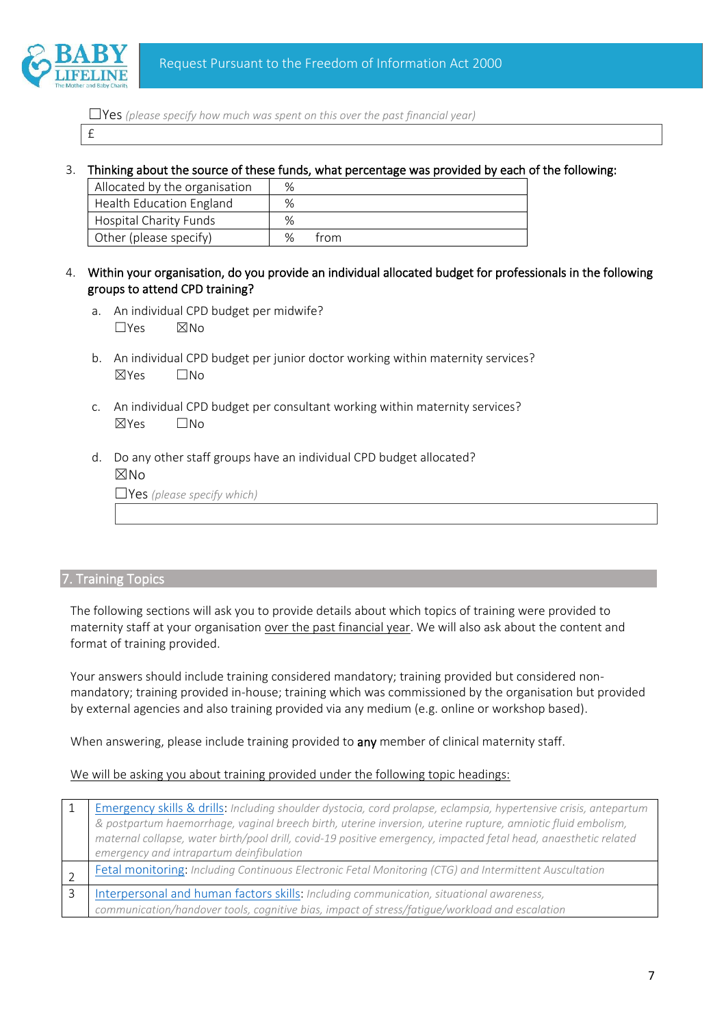

☐Yes *(please specify how much was spent on this over the past financial year)* £

3. Thinking about the source of these funds, what percentage was provided by each of the following:

| Allocated by the organisation | ℅ |      |
|-------------------------------|---|------|
| Health Education England      | ℅ |      |
| Hospital Charity Funds        | % |      |
| Other (please specify)        | % | trom |

- 4. Within your organisation, do you provide an individual allocated budget for professionals in the following groups to attend CPD training?
	- a. An individual CPD budget per midwife? ☐Yes ☒No
	- b. An individual CPD budget per junior doctor working within maternity services? ☒Yes ☐No
	- c. An individual CPD budget per consultant working within maternity services? ☒Yes ☐No
	- d. Do any other staff groups have an individual CPD budget allocated? ☒No

☐Yes *(please specify which)*

### <span id="page-6-0"></span>7. Training Topics

The following sections will ask you to provide details about which topics of training were provided to maternity staff at your organisation over the past financial year. We will also ask about the content and format of training provided.

Your answers should include training considered mandatory; training provided but considered nonmandatory; training provided in-house; training which was commissioned by the organisation but provided by external agencies and also training provided via any medium (e.g. online or workshop based).

When answering, please include training provided to **any** member of clinical maternity staff.

We will be asking you about training provided under the following topic headings:

|  |                                                                                                                  | Emergency skills & drills: Including shoulder dystocia, cord prolapse, eclampsia, hypertensive crisis, antepartum |  |  |
|--|------------------------------------------------------------------------------------------------------------------|-------------------------------------------------------------------------------------------------------------------|--|--|
|  | & postpartum haemorrhage, vaginal breech birth, uterine inversion, uterine rupture, amniotic fluid embolism,     |                                                                                                                   |  |  |
|  | maternal collapse, water birth/pool drill, covid-19 positive emergency, impacted fetal head, anaesthetic related |                                                                                                                   |  |  |
|  | emergency and intrapartum deinfibulation                                                                         |                                                                                                                   |  |  |
|  |                                                                                                                  | Fetal monitoring: Including Continuous Electronic Fetal Monitoring (CTG) and Intermittent Auscultation            |  |  |
|  |                                                                                                                  | Interpersonal and human factors skills: Including communication, situational awareness,                           |  |  |
|  |                                                                                                                  | communication/handover tools, cognitive bias, impact of stress/fatigue/workload and escalation                    |  |  |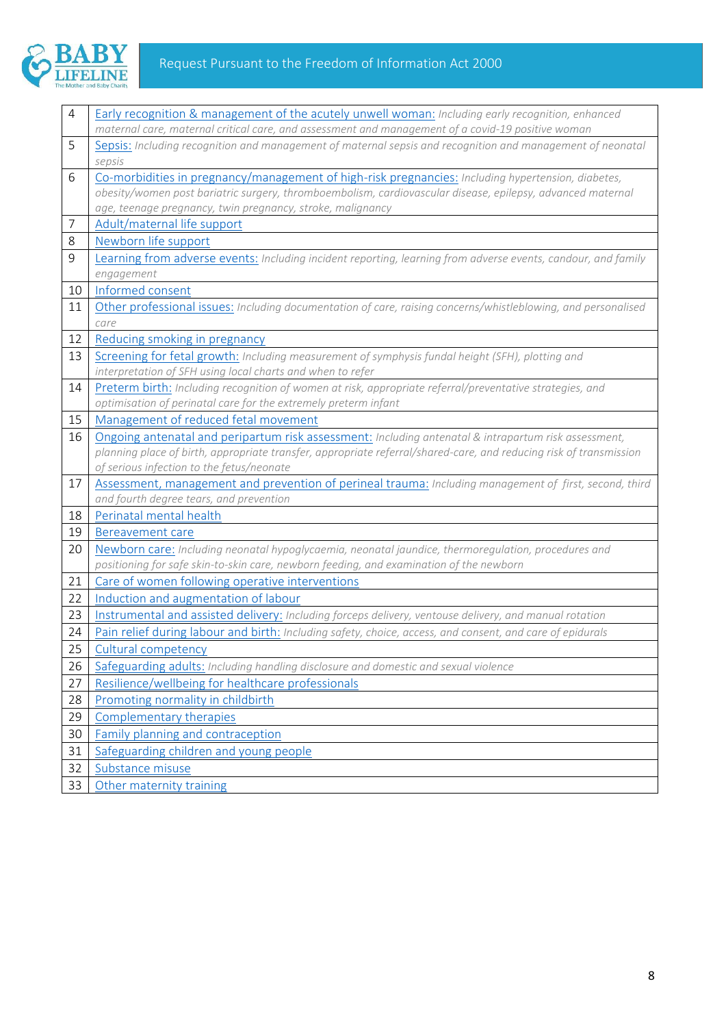

| 4  | Early recognition & management of the acutely unwell woman: Including early recognition, enhanced                                                                                              |
|----|------------------------------------------------------------------------------------------------------------------------------------------------------------------------------------------------|
|    | maternal care, maternal critical care, and assessment and management of a covid-19 positive woman                                                                                              |
| 5  | Sepsis: Including recognition and management of maternal sepsis and recognition and management of neonatal                                                                                     |
|    | sepsis                                                                                                                                                                                         |
| 6  | Co-morbidities in pregnancy/management of high-risk pregnancies: Including hypertension, diabetes,                                                                                             |
|    | obesity/women post bariatric surgery, thromboembolism, cardiovascular disease, epilepsy, advanced maternal                                                                                     |
| 7  | age, teenage pregnancy, twin pregnancy, stroke, malignancy<br>Adult/maternal life support                                                                                                      |
| 8  | Newborn life support                                                                                                                                                                           |
| 9  | Learning from adverse events: Including incident reporting, learning from adverse events, candour, and family                                                                                  |
|    | engagement                                                                                                                                                                                     |
| 10 | Informed consent                                                                                                                                                                               |
| 11 | Other professional issues: Including documentation of care, raising concerns/whistleblowing, and personalised                                                                                  |
|    | care                                                                                                                                                                                           |
| 12 | Reducing smoking in pregnancy                                                                                                                                                                  |
| 13 | Screening for fetal growth: Including measurement of symphysis fundal height (SFH), plotting and                                                                                               |
|    | interpretation of SFH using local charts and when to refer                                                                                                                                     |
| 14 | Preterm birth: Including recognition of women at risk, appropriate referral/preventative strategies, and                                                                                       |
|    | optimisation of perinatal care for the extremely preterm infant                                                                                                                                |
| 15 | Management of reduced fetal movement                                                                                                                                                           |
| 16 | Ongoing antenatal and peripartum risk assessment: Including antenatal & intrapartum risk assessment,                                                                                           |
|    | planning place of birth, appropriate transfer, appropriate referral/shared-care, and reducing risk of transmission                                                                             |
|    | of serious infection to the fetus/neonate                                                                                                                                                      |
| 17 | Assessment, management and prevention of perineal trauma: Including management of first, second, third                                                                                         |
|    | and fourth degree tears, and prevention<br>Perinatal mental health                                                                                                                             |
| 18 |                                                                                                                                                                                                |
| 19 | <b>Bereavement care</b>                                                                                                                                                                        |
| 20 | Newborn care: Including neonatal hypoglycaemia, neonatal jaundice, thermoregulation, procedures and<br>positioning for safe skin-to-skin care, newborn feeding, and examination of the newborn |
| 21 | Care of women following operative interventions                                                                                                                                                |
| 22 | Induction and augmentation of labour                                                                                                                                                           |
| 23 | Instrumental and assisted delivery: Including forceps delivery, ventouse delivery, and manual rotation                                                                                         |
| 24 | Pain relief during labour and birth: Including safety, choice, access, and consent, and care of epidurals                                                                                      |
| 25 | Cultural competency                                                                                                                                                                            |
| 26 | Safeguarding adults: Including handling disclosure and domestic and sexual violence                                                                                                            |
| 27 | Resilience/wellbeing for healthcare professionals                                                                                                                                              |
| 28 | Promoting normality in childbirth                                                                                                                                                              |
| 29 | <b>Complementary therapies</b>                                                                                                                                                                 |
| 30 | Family planning and contraception                                                                                                                                                              |
| 31 | Safeguarding children and young people                                                                                                                                                         |
| 32 | Substance misuse                                                                                                                                                                               |
| 33 | Other maternity training                                                                                                                                                                       |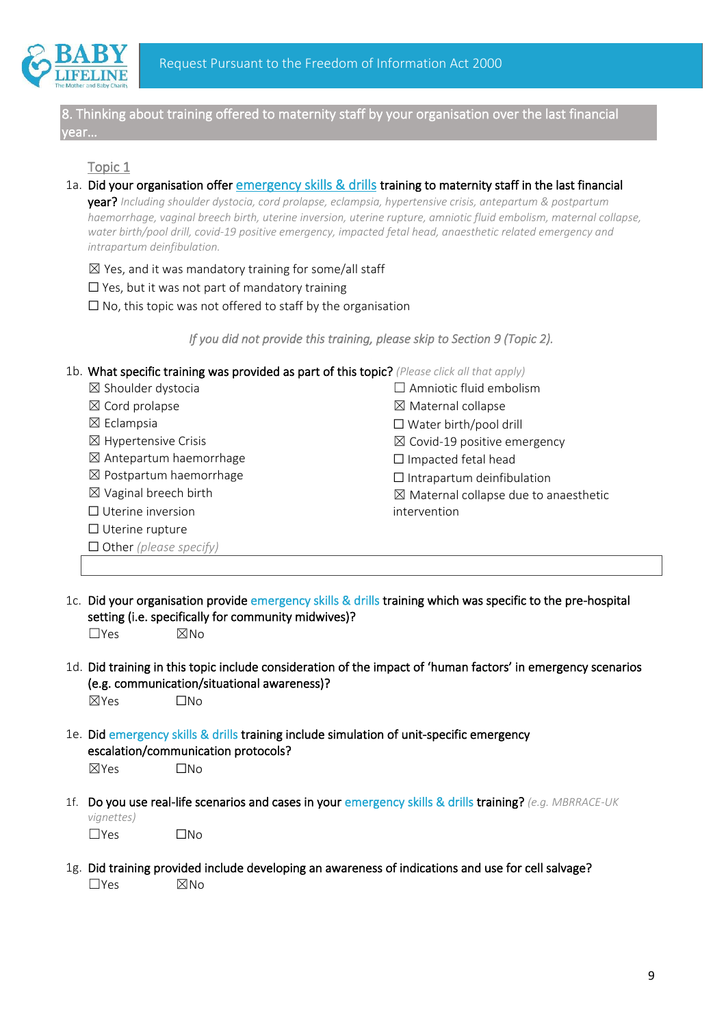

### <span id="page-8-0"></span>Topic 1

1a. Did your organisation offer emergency skills & drills training to maternity staff in the last financial

year? *Including shoulder dystocia, cord prolapse, eclampsia, hypertensive crisis, antepartum & postpartum haemorrhage, vaginal breech birth, uterine inversion, uterine rupture, amniotic fluid embolism, maternal collapse, water birth/pool drill, covid-19 positive emergency, impacted fetal head, anaesthetic related emergency and intrapartum deinfibulation.*

 $\boxtimes$  Yes, and it was mandatory training for some/all staff

☐ Yes, but it was not part of mandatory training

 $\Box$  No, this topic was not offered to staff by the organisation

*If you did not provide this training, please skip to Section 9 (Topic 2).* 

#### 1b. What specific training was provided as part of this topic? *(Please click all that apply)*

| $\boxtimes$ Shoulder dystocia      | $\Box$ Amniotic fluid embolism                   |
|------------------------------------|--------------------------------------------------|
| $\boxtimes$ Cord prolapse          | $\boxtimes$ Maternal collapse                    |
| $\boxtimes$ Eclampsia              | $\Box$ Water birth/pool drill                    |
| $\boxtimes$ Hypertensive Crisis    | $\boxtimes$ Covid-19 positive emergency          |
| $\boxtimes$ Antepartum haemorrhage | $\Box$ Impacted fetal head                       |
| $\boxtimes$ Postpartum haemorrhage | $\Box$ Intrapartum deinfibulation                |
| $\boxtimes$ Vaginal breech birth   | $\boxtimes$ Maternal collapse due to anaesthetic |
| $\Box$ Uterine inversion           | intervention                                     |
| $\Box$ Uterine rupture             |                                                  |
| $\Box$ Other (please specify)      |                                                  |

1c. Did your organisation provide emergency skills & drills training which was specific to the pre-hospital setting (i.e. specifically for community midwives)?  $\square$ Yes  $\square$ No

1d. Did training in this topic include consideration of the impact of 'human factors' in emergency scenarios

(e.g. communication/situational awareness)?

☒Yes ☐No

# 1e. Did emergency skills & drills training include simulation of unit-specific emergency escalation/communication protocols?

 $\boxtimes$ Yes  $\Box$ No

1f. Do you use real-life scenarios and cases in your emergency skills & drills training? *(e.g. MBRRACE-UK vignettes)*

☐Yes ☐No

1g. Did training provided include developing an awareness of indications and use for cell salvage?  $\square$ Yes  $\square$ No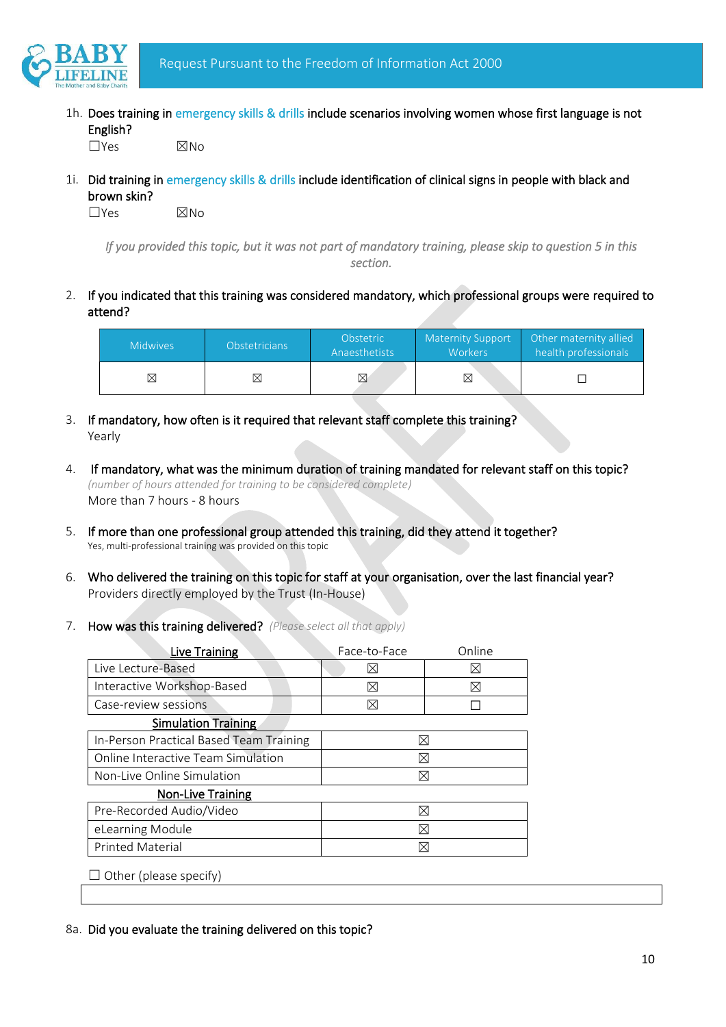

1h. Does training in emergency skills & drills include scenarios involving women whose first language is not English?

☐Yes ☒No

1i. Did training in emergency skills & drills include identification of clinical signs in people with black and brown skin?

 $\square$ Yes  $\square$ No

*If you provided this topic, but it was not part of mandatory training, please skip to question 5 in this section.* 

2. If you indicated that this training was considered mandatory, which professional groups were required to attend?

| <b>Midwives</b> | <b>Obstetricians</b> | Obstetric<br>Anaesthetists | <b>Maternity Support</b><br><b>Workers</b> | Other maternity allied<br>health professionals |
|-----------------|----------------------|----------------------------|--------------------------------------------|------------------------------------------------|
|                 | ⋈                    | $\boxtimes$                | ⊠                                          |                                                |

- 3. If mandatory, how often is it required that relevant staff complete this training? Yearly
- 4. If mandatory, what was the minimum duration of training mandated for relevant staff on this topic? *(number of hours attended for training to be considered complete)* More than 7 hours - 8 hours
- 5. If more than one professional group attended this training, did they attend it together? Yes, multi-professional training was provided on this topic
- 6. Who delivered the training on this topic for staff at your organisation, over the last financial year? Providers directly employed by the Trust (In-House)
- 7. How was this training delivered? *(Please select all that apply)*

| Live Training                           | Face-to-Face | Online |  |  |
|-----------------------------------------|--------------|--------|--|--|
| Live Lecture-Based                      | $\boxtimes$  | ⊠      |  |  |
| Interactive Workshop-Based              | ⊠            | ⊠      |  |  |
| Case-review sessions                    | ⊠            |        |  |  |
| <b>Simulation Training</b>              |              |        |  |  |
| In-Person Practical Based Team Training | $\boxtimes$  |        |  |  |
| Online Interactive Team Simulation      | ⊠            |        |  |  |
| Non-Live Online Simulation              | M            |        |  |  |
| <b>Non-Live Training</b>                |              |        |  |  |
| Pre-Recorded Audio/Video                | $\boxtimes$  |        |  |  |
| eLearning Module                        | $\boxtimes$  |        |  |  |
| <b>Printed Material</b>                 |              |        |  |  |
| $\Box$ Other (please specify)           |              |        |  |  |

8a. Did you evaluate the training delivered on this topic?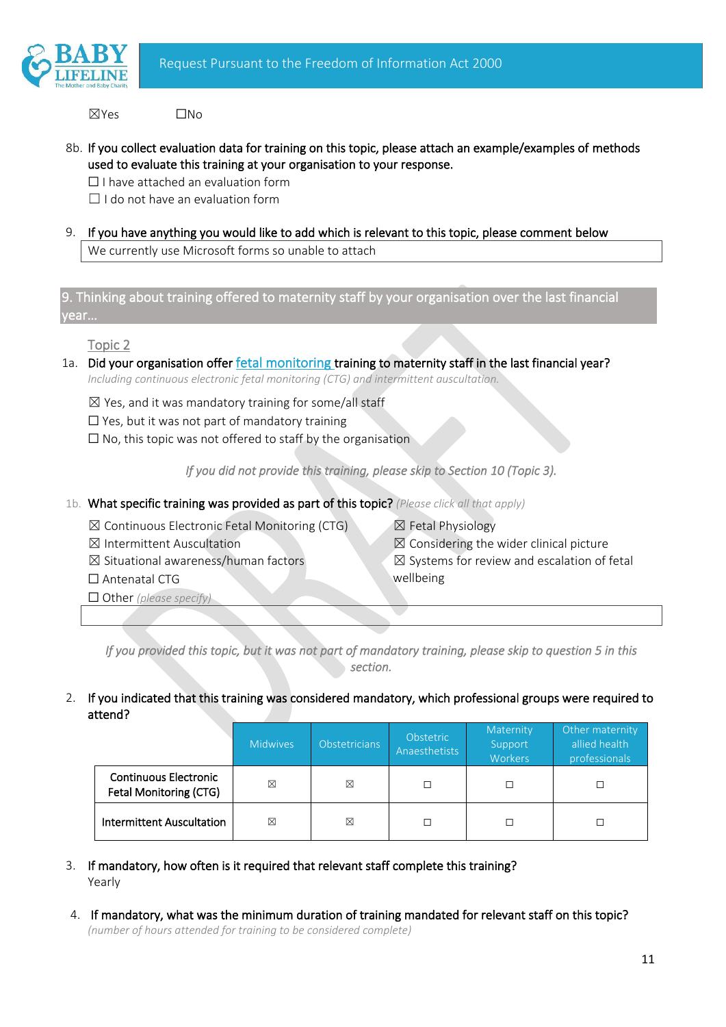

☒Yes ☐No

8b. If you collect evaluation data for training on this topic, please attach an example/examples of methods used to evaluate this training at your organisation to your response.

☐ I have attached an evaluation form

 $\Box$  I do not have an evaluation form

9. If you have anything you would like to add which is relevant to this topic, please comment below We currently use Microsoft forms so unable to attach

9. Thinking about training offered to maternity staff by your organisation over the last financial year…

<span id="page-10-0"></span>Topic 2

#### 1a. Did your organisation offer fetal monitoring training to maternity staff in the last financial year? *Including continuous electronic fetal monitoring (CTG) and intermittent auscultation.*

 $\boxtimes$  Yes, and it was mandatory training for some/all staff

- $\Box$  Yes, but it was not part of mandatory training
- $\Box$  No, this topic was not offered to staff by the organisation

*If you did not provide this training, please skip to Section 10 (Topic 3).* 

#### 1b. What specific training was provided as part of this topic? *(Please click all that apply)*

- ☒ Continuous Electronic Fetal Monitoring (CTG)
- ☒ Intermittent Auscultation
- ☒ Situational awareness/human factors
- ☐ Antenatal CTG
- ☒ Fetal Physiology
- $<sup>2</sup>$  Considering the wider clinical picture</sup>

 $\boxtimes$  Systems for review and escalation of fetal wellbeing

☐ Other *(please specify)*

*If you provided this topic, but it was not part of mandatory training, please skip to question 5 in this section.* 

|                                                        | <b>Midwives</b> | <b>Obstetricians</b> | Obstetric<br>Anaesthetists | Maternity<br>Support<br><b>Workers</b> | Other maternity<br>allied health<br>professionals |
|--------------------------------------------------------|-----------------|----------------------|----------------------------|----------------------------------------|---------------------------------------------------|
| <b>Continuous Electronic</b><br>Fetal Monitoring (CTG) | $\boxtimes$     | ⊠                    |                            | Π                                      | □                                                 |
| Intermittent Auscultation                              | ⊠               | ⊠                    |                            |                                        |                                                   |

- 3. If mandatory, how often is it required that relevant staff complete this training? Yearly
- 4. If mandatory, what was the minimum duration of training mandated for relevant staff on this topic? *(number of hours attended for training to be considered complete)*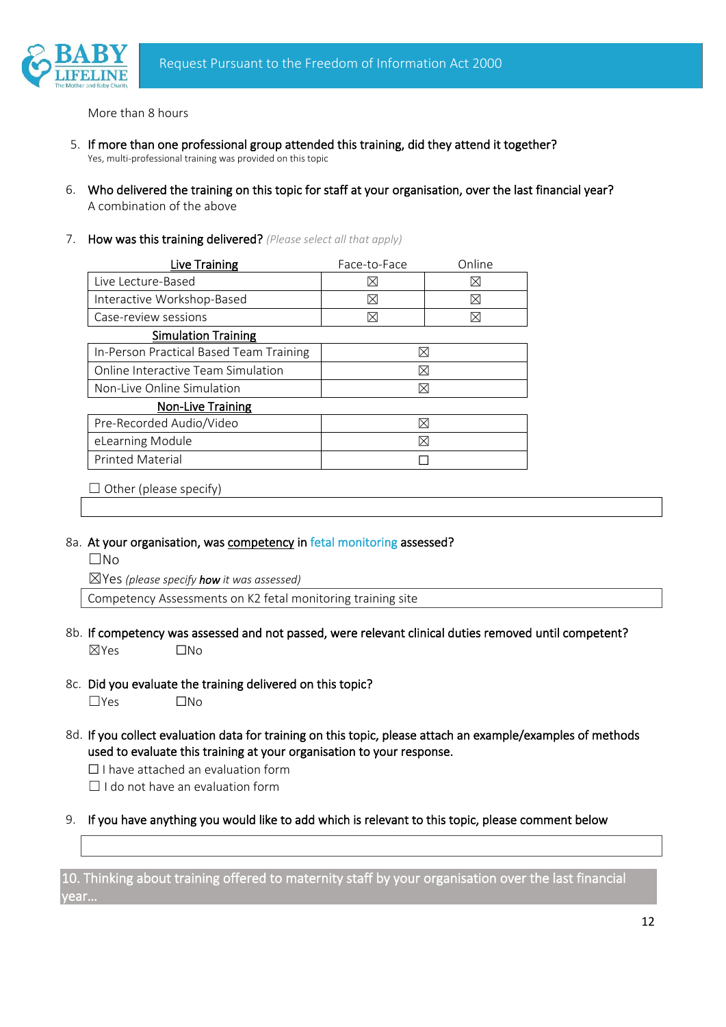

More than 8 hours

- 5. If more than one professional group attended this training, did they attend it together? Yes, multi-professional training was provided on this topic
- 6. Who delivered the training on this topic for staff at your organisation, over the last financial year? A combination of the above
- 7. How was this training delivered? *(Please select all that apply)*

| <b>Live Training</b>                    | Face-to-Face | Online   |
|-----------------------------------------|--------------|----------|
| Live Lecture-Based                      | ⋉            |          |
| Interactive Workshop-Based              | $\boxtimes$  | $\times$ |
| Case-review sessions                    | $\times$     |          |
| <b>Simulation Training</b>              |              |          |
| In-Person Practical Based Team Training | ⋈            |          |
| Online Interactive Team Simulation<br>⋈ |              |          |
| Non-Live Online Simulation              | M            |          |
| Non-Live Training                       |              |          |
| Pre-Recorded Audio/Video                | M            |          |
| eLearning Module                        |              |          |
| <b>Printed Material</b>                 |              |          |

 $\Box$  Other (please specify)

8a. At your organisation, was competency in fetal monitoring assessed?

☐No

☒Yes *(please specify how it was assessed)*

Competency Assessments on K2 fetal monitoring training site

- 8b. If competency was assessed and not passed, were relevant clinical duties removed until competent?  $\boxtimes$ Yes  $\Box$ No
- 8c. Did you evaluate the training delivered on this topic?

☐Yes ☐No

- 8d. If you collect evaluation data for training on this topic, please attach an example/examples of methods used to evaluate this training at your organisation to your response.
	- ☐ I have attached an evaluation form
	- $\Box$  I do not have an evaluation form
- 9. If you have anything you would like to add which is relevant to this topic, please comment below

10. Thinking about training offered to maternity staff by your organisation over the last financial year…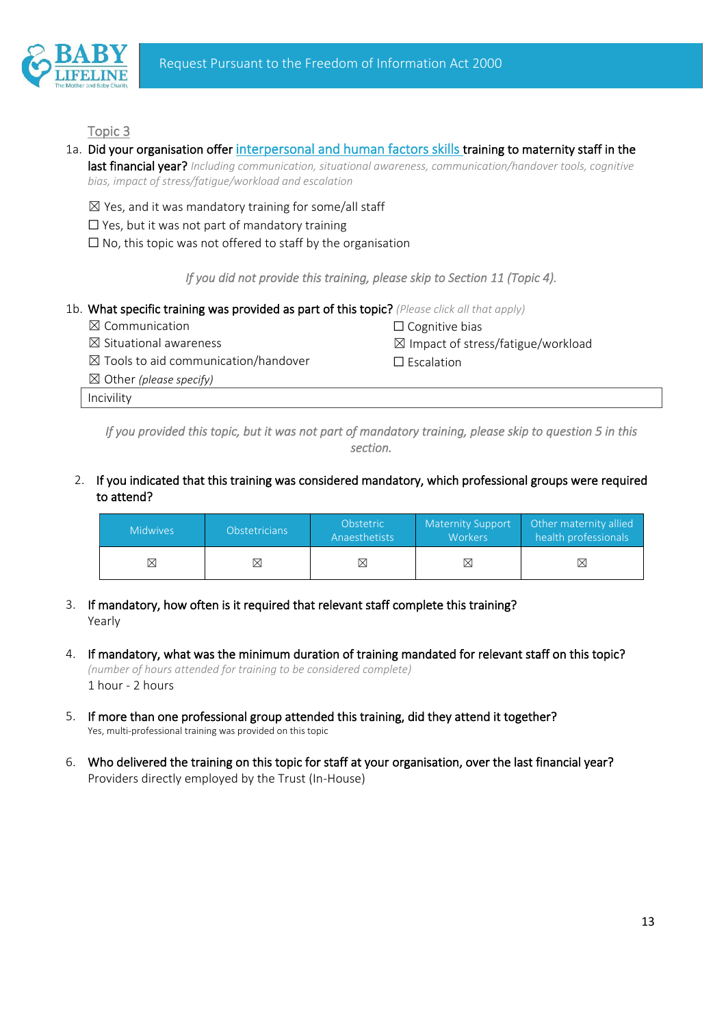

<span id="page-12-0"></span>Topic 3

|                                    | 1a. Did your organisation offer interpersonal and human factors skills training to maternity staff in the<br><b>last financial year?</b> Including communication, situational awareness, communication/handover tools, cognitive<br>bias, impact of stress/fatigue/workload and escalation |                                               |  |  |
|------------------------------------|--------------------------------------------------------------------------------------------------------------------------------------------------------------------------------------------------------------------------------------------------------------------------------------------|-----------------------------------------------|--|--|
|                                    | $\boxtimes$ Yes, and it was mandatory training for some/all staff<br>$\Box$ Yes, but it was not part of mandatory training<br>$\Box$ No, this topic was not offered to staff by the organisation                                                                                           |                                               |  |  |
|                                    | If you did not provide this training, please skip to Section 11 (Topic 4).                                                                                                                                                                                                                 |                                               |  |  |
|                                    | 1b. What specific training was provided as part of this topic? (Please click all that apply)                                                                                                                                                                                               |                                               |  |  |
|                                    | $\boxtimes$ Communication                                                                                                                                                                                                                                                                  | $\Box$ Cognitive bias                         |  |  |
|                                    | $\boxtimes$ Situational awareness                                                                                                                                                                                                                                                          | $\boxtimes$ Impact of stress/fatigue/workload |  |  |
|                                    | $\boxtimes$ Tools to aid communication/handover                                                                                                                                                                                                                                            | $\Box$ Escalation                             |  |  |
| $\boxtimes$ Other (please specify) |                                                                                                                                                                                                                                                                                            |                                               |  |  |
|                                    | Incivility                                                                                                                                                                                                                                                                                 |                                               |  |  |

*If you provided this topic, but it was not part of mandatory training, please skip to question 5 in this section.* 

| <b>Midwives</b> | <b>Obstetricians</b> | Obstetric<br>Anaesthetists | <b>Maternity Support</b><br><b>Workers</b> | Other maternity allied<br>health professionals |
|-----------------|----------------------|----------------------------|--------------------------------------------|------------------------------------------------|
| ⋈               | ⋈                    | ⊠                          | $\boxtimes$                                | X                                              |

- 3. If mandatory, how often is it required that relevant staff complete this training? Yearly
- 4. If mandatory, what was the minimum duration of training mandated for relevant staff on this topic? *(number of hours attended for training to be considered complete)* 1 hour - 2 hours
- 5. If more than one professional group attended this training, did they attend it together? Yes, multi-professional training was provided on this topic
- 6. Who delivered the training on this topic for staff at your organisation, over the last financial year? Providers directly employed by the Trust (In-House)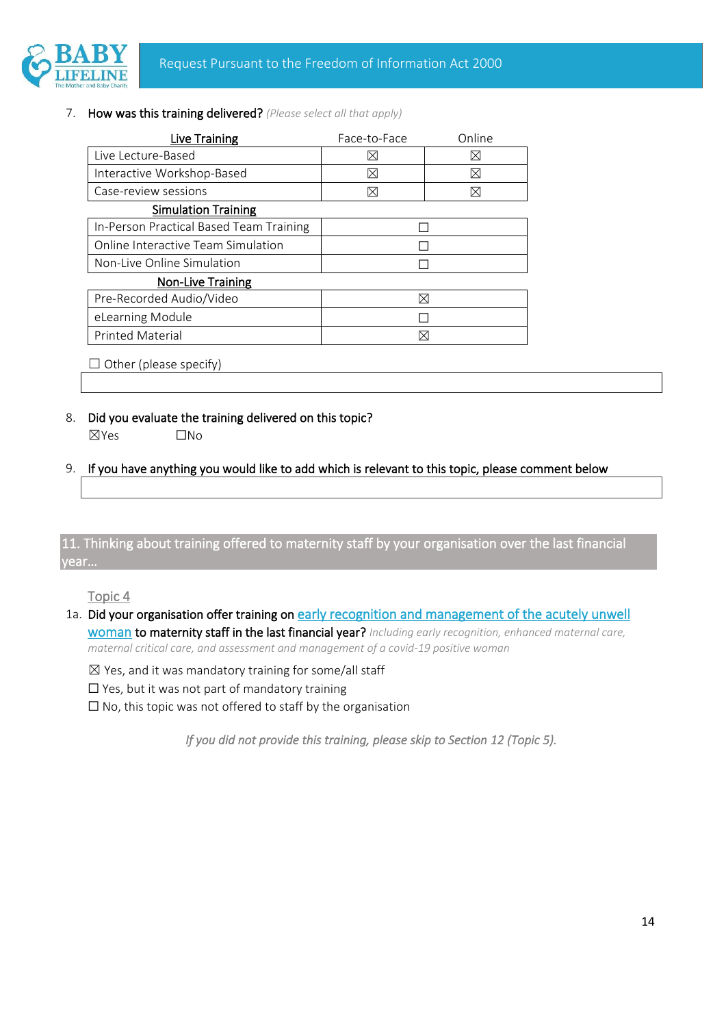

7. How was this training delivered? *(Please select all that apply)*

| Live Training                           | Face-to-Face | Online      |
|-----------------------------------------|--------------|-------------|
| Live Lecture-Based                      | ⋉            | $\bowtie$   |
| Interactive Workshop-Based              | $\boxtimes$  | $\boxtimes$ |
| Case-review sessions                    | ⋉            | $\boxtimes$ |
| <b>Simulation Training</b>              |              |             |
| In-Person Practical Based Team Training |              |             |
| Online Interactive Team Simulation      |              |             |
| Non-Live Online Simulation              |              |             |
| <b>Non-Live Training</b>                |              |             |
| Pre-Recorded Audio/Video                |              |             |
| eLearning Module                        |              |             |
| <b>Printed Material</b>                 |              |             |
|                                         |              |             |

 $\Box$  Other (please specify)

8. Did you evaluate the training delivered on this topic?

☒Yes ☐No

9. If you have anything you would like to add which is relevant to this topic, please comment below

11. Thinking about training offered to maternity staff by your organisation over the last financial year…

<span id="page-13-0"></span>Topic 4

1a. Did your organisation offer training on early recognition and management of the acutely unwell woman to maternity staff in the last financial year? *Including early recognition, enhanced maternal care, maternal critical care, and assessment and management of a covid-19 positive woman*

 $\boxtimes$  Yes, and it was mandatory training for some/all staff

☐ Yes, but it was not part of mandatory training

☐ No, this topic was not offered to staff by the organisation

*If you did not provide this training, please skip to Section 12 (Topic 5).*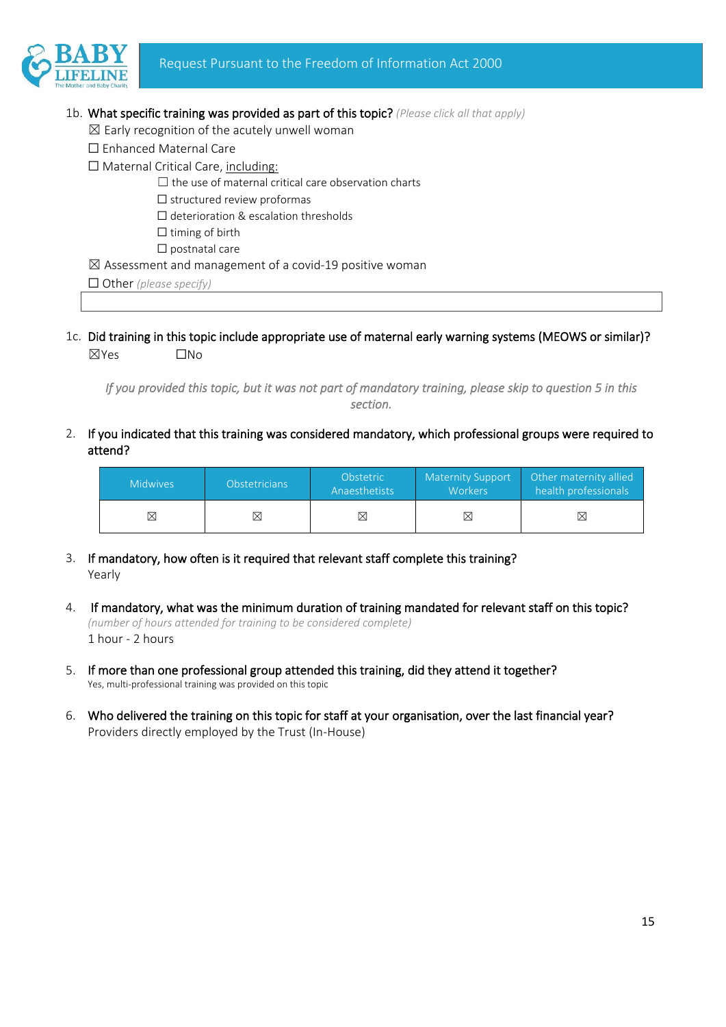

- 1b. What specific training was provided as part of this topic? *(Please click all that apply)*
	- $\boxtimes$  Early recognition of the acutely unwell woman
	- ☐ Enhanced Maternal Care
	- ☐ Maternal Critical Care, including:
		- $\Box$  the use of maternal critical care observation charts
		- ☐ structured review proformas
		- $\Box$  deterioration & escalation thresholds
		- $\Box$  timing of birth
		- $\square$  postnatal care
	- $\boxtimes$  Assessment and management of a covid-19 positive woman

☐ Other *(please specify)*

## 1c. Did training in this topic include appropriate use of maternal early warning systems (MEOWS or similar)? ☒Yes ☐No

*If you provided this topic, but it was not part of mandatory training, please skip to question 5 in this section.*

| <b>Midwives</b> | <b>Obstetricians</b> | Obstetric<br>Anaesthetists | <b>Maternity Support</b><br><b>Workers</b> | Other maternity allied<br>health professionals |  |
|-----------------|----------------------|----------------------------|--------------------------------------------|------------------------------------------------|--|
| ⊠               | ⊠<br>⊠               |                            | ⊠                                          | ⊠                                              |  |

- 3. If mandatory, how often is it required that relevant staff complete this training? Yearly
- 4. If mandatory, what was the minimum duration of training mandated for relevant staff on this topic? *(number of hours attended for training to be considered complete)* 1 hour - 2 hours
- 5. If more than one professional group attended this training, did they attend it together? Yes, multi-professional training was provided on this topic
- 6. Who delivered the training on this topic for staff at your organisation, over the last financial year? Providers directly employed by the Trust (In-House)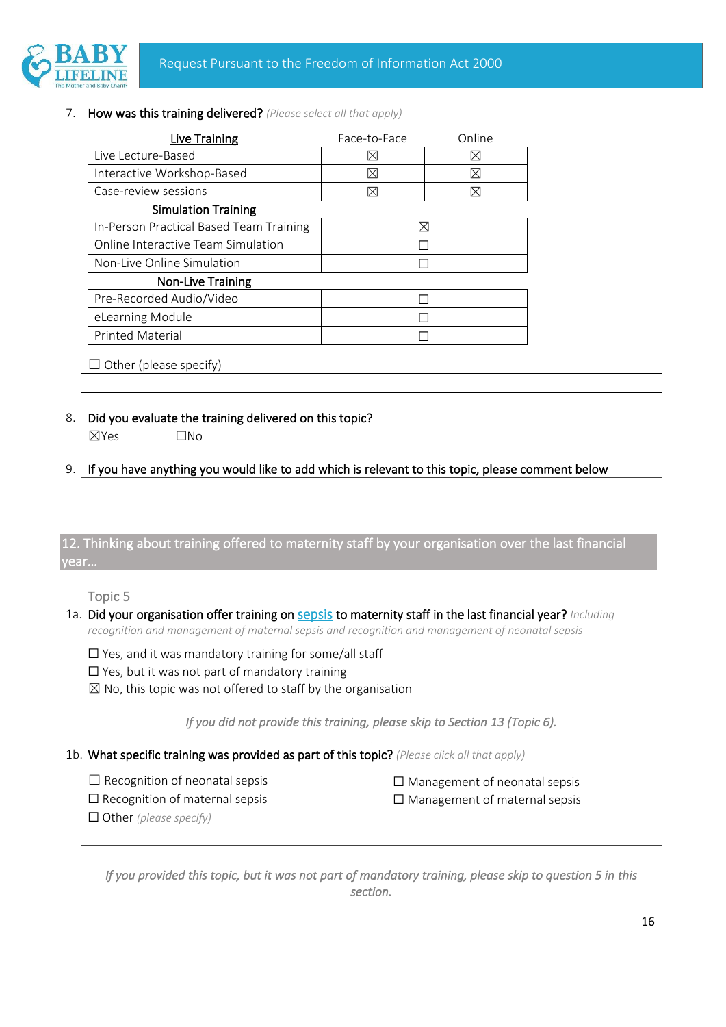

7. How was this training delivered? *(Please select all that apply)*

| Live Training                           | Face-to-Face | Online   |  |
|-----------------------------------------|--------------|----------|--|
| Live Lecture-Based                      |              | ⋈        |  |
| Interactive Workshop-Based              | ⋈            | $\times$ |  |
| Case-review sessions                    | $\boxtimes$  |          |  |
| <b>Simulation Training</b>              |              |          |  |
| In-Person Practical Based Team Training | M            |          |  |
| Online Interactive Team Simulation      |              |          |  |
| Non-Live Online Simulation              |              |          |  |
| <b>Non-Live Training</b>                |              |          |  |
| Pre-Recorded Audio/Video                |              |          |  |
| eLearning Module                        |              |          |  |
| <b>Printed Material</b>                 |              |          |  |
|                                         |              |          |  |

 $\Box$  Other (please specify)

8. Did you evaluate the training delivered on this topic?

☒Yes ☐No

9. If you have anything you would like to add which is relevant to this topic, please comment below

### 12. Thinking about training offered to maternity staff by your organisation over the last financial year…

<span id="page-15-0"></span>Topic 5

- 1a. Did your organisation offer training on sepsis to maternity staff in the last financial year? *Including recognition and management of maternal sepsis and recognition and management of neonatal sepsis*
	- ☐ Yes, and it was mandatory training for some/all staff
	- ☐ Yes, but it was not part of mandatory training
	- $\boxtimes$  No, this topic was not offered to staff by the organisation

*If you did not provide this training, please skip to Section 13 (Topic 6).* 

#### 1b. What specific training was provided as part of this topic? *(Please click all that apply)*

 $\Box$  Recognition of neonatal sepsis

□ Management of neonatal sepsis

 $\Box$  Recognition of maternal sepsis

□ Management of maternal sepsis

☐ Other *(please specify)*

*If you provided this topic, but it was not part of mandatory training, please skip to question 5 in this section.*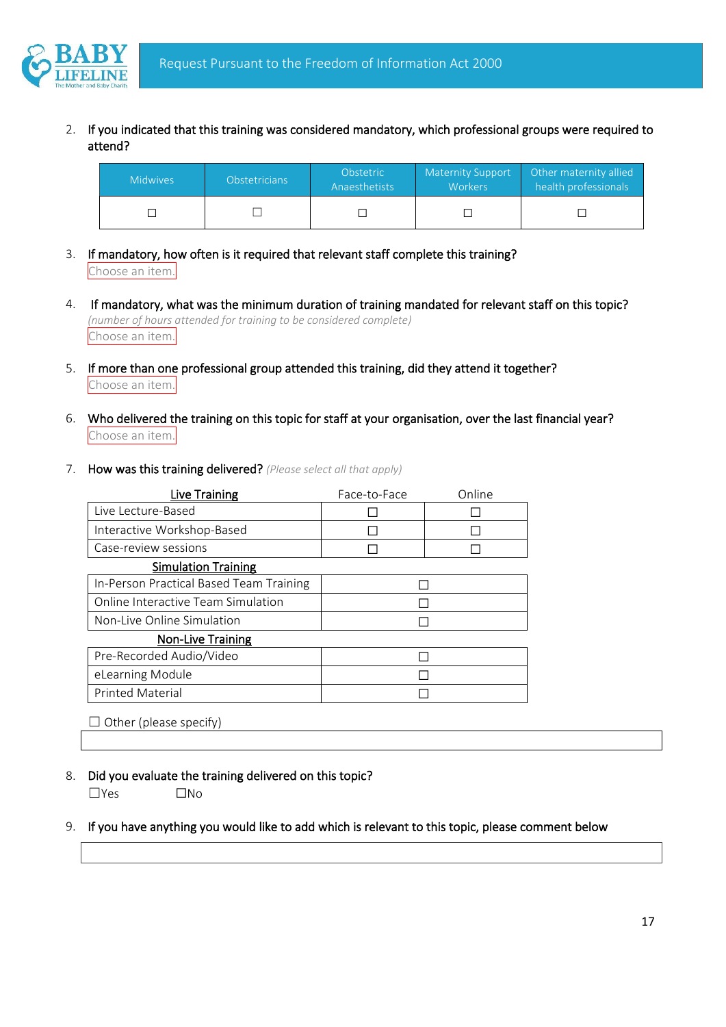

2. If you indicated that this training was considered mandatory, which professional groups were required to attend?

| <b>Midwives</b> | <b>Obstetricians</b> | Obstetric<br>Anaesthetists | <b>Maternity Support</b><br><b>Workers</b> | Other maternity allied<br>health professionals |
|-----------------|----------------------|----------------------------|--------------------------------------------|------------------------------------------------|
|                 |                      |                            |                                            |                                                |

- 3. If mandatory, how often is it required that relevant staff complete this training? Choose an item.
- 4. If mandatory, what was the minimum duration of training mandated for relevant staff on this topic? *(number of hours attended for training to be considered complete)* Choose an item.
- 5. If more than one professional group attended this training, did they attend it together? Choose an item.
- 6. Who delivered the training on this topic for staff at your organisation, over the last financial year? Choose an item.
- 7. How was this training delivered? *(Please select all that apply)*

| Live Training                           | Face-to-Face | Online |
|-----------------------------------------|--------------|--------|
| Live Lecture-Based                      |              |        |
| Interactive Workshop-Based              |              |        |
| Case-review sessions                    |              |        |
| <b>Simulation Training</b>              |              |        |
| In-Person Practical Based Team Training |              |        |
| Online Interactive Team Simulation      |              |        |
| Non-Live Online Simulation              |              |        |
| <b>Non-Live Training</b>                |              |        |
| Pre-Recorded Audio/Video                |              |        |
| eLearning Module                        |              |        |
| <b>Printed Material</b>                 |              |        |
|                                         |              |        |

 $\Box$  Other (please specify)

8. Did you evaluate the training delivered on this topic?

☐Yes ☐No

9. If you have anything you would like to add which is relevant to this topic, please comment below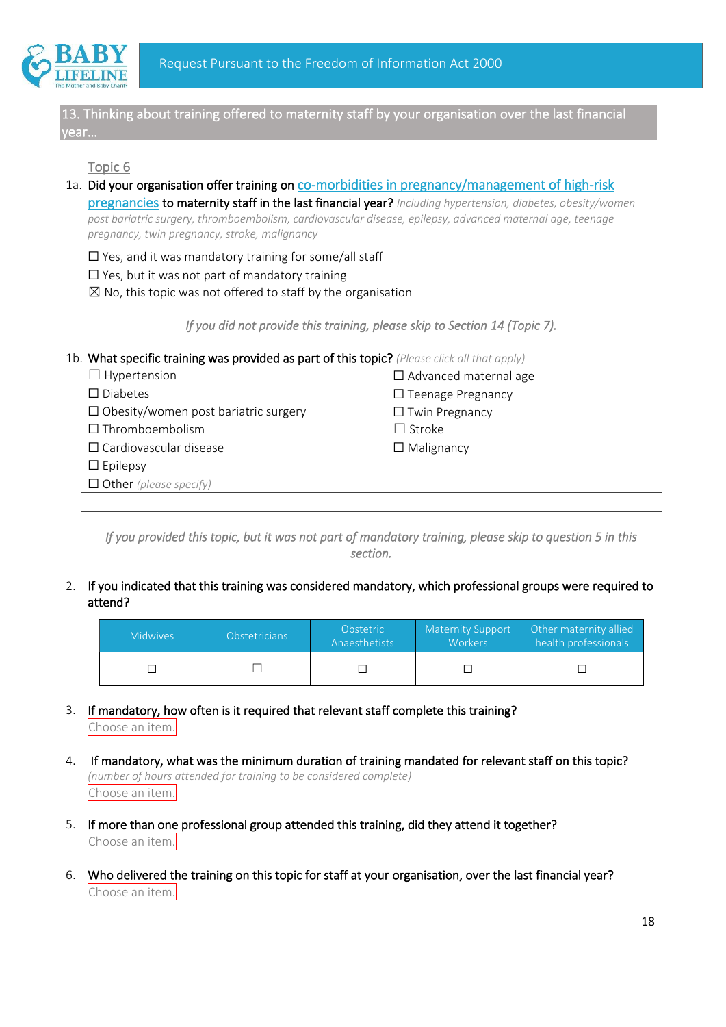

<span id="page-17-0"></span>Topic 6

1a. Did your organisation offer training on co-morbidities in pregnancy/management of high-risk pregnancies to maternity staff in the last financial year? *Including hypertension, diabetes, obesity/women post bariatric surgery, thromboembolism, cardiovascular disease, epilepsy, advanced maternal age, teenage pregnancy, twin pregnancy, stroke, malignancy*

☐ Yes, and it was mandatory training for some/all staff

- ☐ Yes, but it was not part of mandatory training
- $\boxtimes$  No, this topic was not offered to staff by the organisation

*If you did not provide this training, please skip to Section 14 (Topic 7).* 

#### 1b. What specific training was provided as part of this topic? *(Please click all that apply)*

| $\Box$ Hypertension                         | $\Box$ Advanced maternal age |
|---------------------------------------------|------------------------------|
| $\Box$ Diabetes                             | $\Box$ Teenage Pregnancy     |
| $\Box$ Obesity/women post bariatric surgery | $\Box$ Twin Pregnancy        |
| $\Box$ Thromboembolism                      | $\Box$ Stroke                |
| $\Box$ Cardiovascular disease               | $\Box$ Malignancy            |
| $\Box$ Epilepsy                             |                              |
| $\Box$ Other (please specify)               |                              |
|                                             |                              |

*If you provided this topic, but it was not part of mandatory training, please skip to question 5 in this section.* 

| <b>Midwives</b> | <b>Obstetricians</b> | Obstetric<br><b>Anaesthetists</b> | <b>Maternity Support</b><br><b>Workers</b> | Other maternity allied<br>health professionals |
|-----------------|----------------------|-----------------------------------|--------------------------------------------|------------------------------------------------|
|                 |                      |                                   |                                            |                                                |

- 3. If mandatory, how often is it required that relevant staff complete this training? Choose an item.
- 4. If mandatory, what was the minimum duration of training mandated for relevant staff on this topic? *(number of hours attended for training to be considered complete)* Choose an item.
- 5. If more than one professional group attended this training, did they attend it together? Choose an item.
- 6. Who delivered the training on this topic for staff at your organisation, over the last financial year? Choose an item.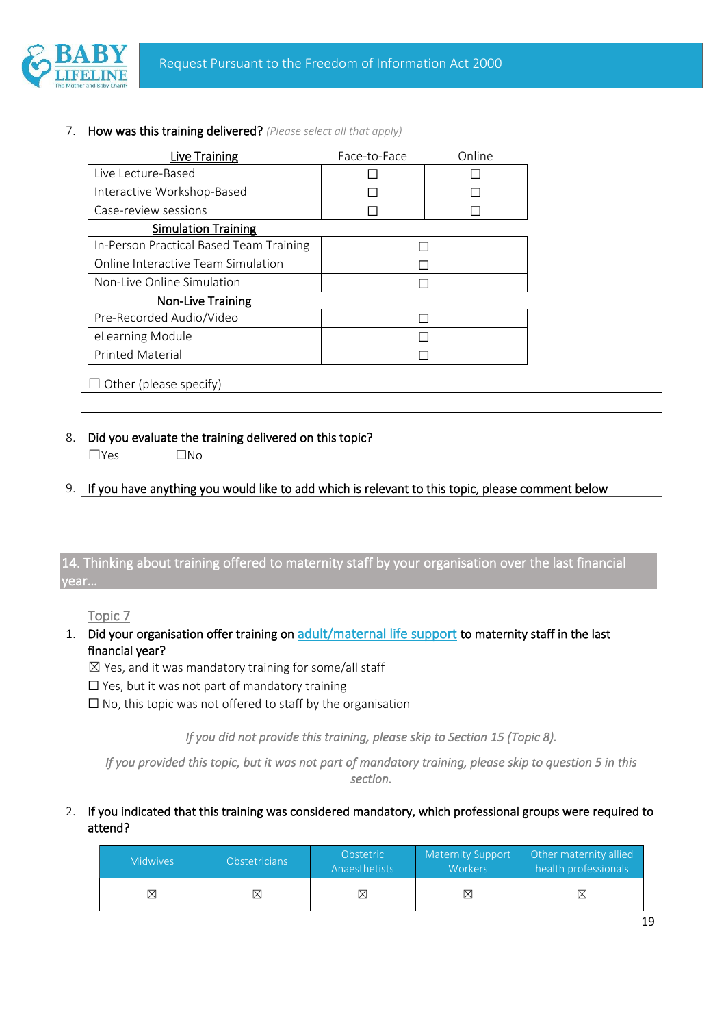

7. How was this training delivered? *(Please select all that apply)*

| Live Training                           | Face-to-Face | Online |
|-----------------------------------------|--------------|--------|
| Live Lecture-Based                      |              |        |
| Interactive Workshop-Based              |              |        |
| Case-review sessions                    |              |        |
| <b>Simulation Training</b>              |              |        |
| In-Person Practical Based Team Training |              |        |
| Online Interactive Team Simulation      |              |        |
| Non-Live Online Simulation              |              |        |
| Non-Live Training                       |              |        |
| Pre-Recorded Audio/Video                |              |        |
| eLearning Module                        |              |        |
| <b>Printed Material</b>                 |              |        |
|                                         |              |        |

 $\Box$  Other (please specify)

8. Did you evaluate the training delivered on this topic?

☐Yes ☐No

9. If you have anything you would like to add which is relevant to this topic, please comment below

## 14. Thinking about training offered to maternity staff by your organisation over the last financial year…

#### <span id="page-18-0"></span>Topic 7

1. Did your organisation offer training on adult/maternal life support to maternity staff in the last financial year?

 $\boxtimes$  Yes, and it was mandatory training for some/all staff

☐ Yes, but it was not part of mandatory training

☐ No, this topic was not offered to staff by the organisation

*If you did not provide this training, please skip to Section 15 (Topic 8).* 

*If you provided this topic, but it was not part of mandatory training, please skip to question 5 in this section.* 

| <b>Midwives</b> | <b>Obstetricians</b> | Obstetric<br>Anaesthetists | <b>Maternity Support</b><br><b>Workers</b> | Other maternity allied<br>health professionals |
|-----------------|----------------------|----------------------------|--------------------------------------------|------------------------------------------------|
| $\boxtimes$     | ⊠                    | X                          | ⊠                                          | $\boxtimes$                                    |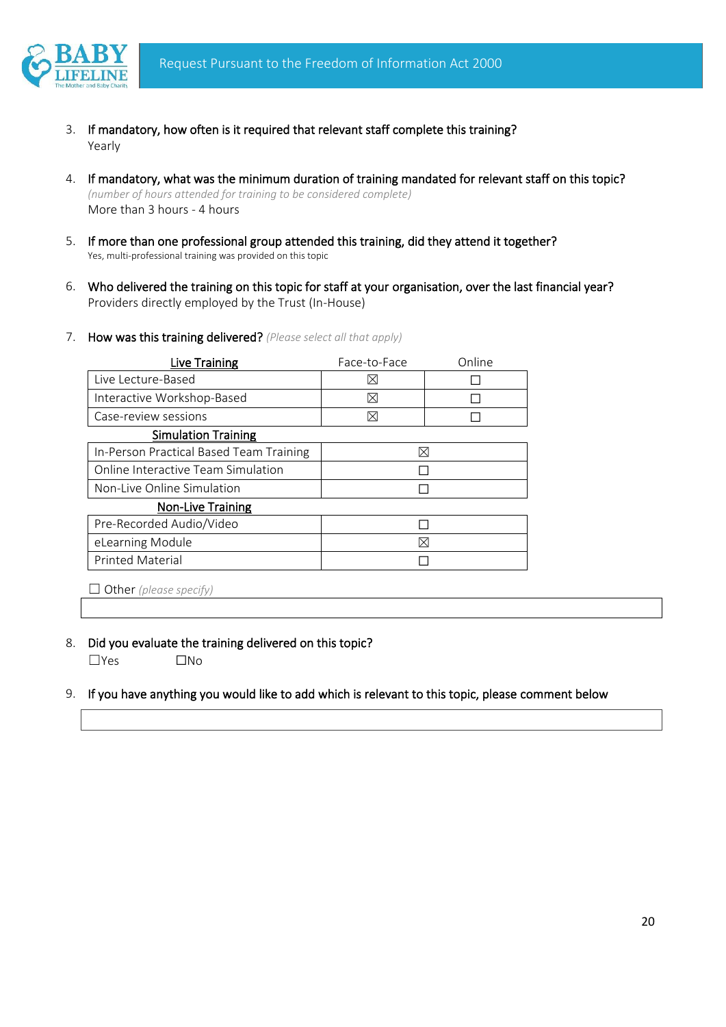

- 3. If mandatory, how often is it required that relevant staff complete this training? Yearly
- 4. If mandatory, what was the minimum duration of training mandated for relevant staff on this topic? *(number of hours attended for training to be considered complete)* More than 3 hours - 4 hours
- 5. If more than one professional group attended this training, did they attend it together? Yes, multi-professional training was provided on this topic
- 6. Who delivered the training on this topic for staff at your organisation, over the last financial year? Providers directly employed by the Trust (In-House)
- 7. How was this training delivered? *(Please select all that apply)*

| Face-to-Face | Online |
|--------------|--------|
| $\boxtimes$  |        |
| $\boxtimes$  |        |
| X            |        |
|              |        |
| $\boxtimes$  |        |
|              |        |
|              |        |
|              |        |
|              |        |
| $\bowtie$    |        |
|              |        |
|              |        |

☐ Other *(please specify)*

8. Did you evaluate the training delivered on this topic?

☐Yes ☐No

9. If you have anything you would like to add which is relevant to this topic, please comment below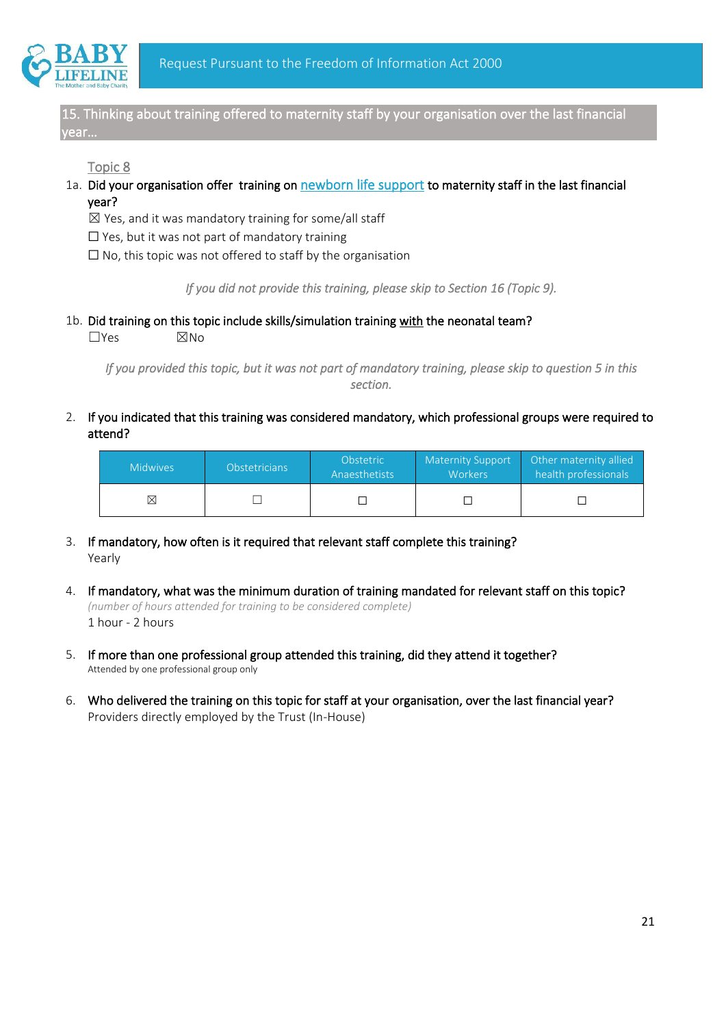

<span id="page-20-0"></span>Topic 8

- 1a. Did your organisation offer training on newborn life support to maternity staff in the last financial year?
	- $\boxtimes$  Yes, and it was mandatory training for some/all staff
	- ☐ Yes, but it was not part of mandatory training
	- ☐ No, this topic was not offered to staff by the organisation

*If you did not provide this training, please skip to Section 16 (Topic 9).* 

1b. Did training on this topic include skills/simulation training with the neonatal team?

 $\square$ Yes  $\square$ No

*If you provided this topic, but it was not part of mandatory training, please skip to question 5 in this section.* 

| <b>Midwives</b> | <b>Obstetricians</b> | Obstetric<br><b>Anaesthetists</b> | Maternity Support<br><b>Workers</b> | Other maternity allied<br>health professionals |
|-----------------|----------------------|-----------------------------------|-------------------------------------|------------------------------------------------|
| ⋉               |                      |                                   |                                     |                                                |

- 3. If mandatory, how often is it required that relevant staff complete this training? Yearly
- 4. If mandatory, what was the minimum duration of training mandated for relevant staff on this topic? *(number of hours attended for training to be considered complete)* 1 hour - 2 hours
- 5. If more than one professional group attended this training, did they attend it together? Attended by one professional group only
- 6. Who delivered the training on this topic for staff at your organisation, over the last financial year? Providers directly employed by the Trust (In-House)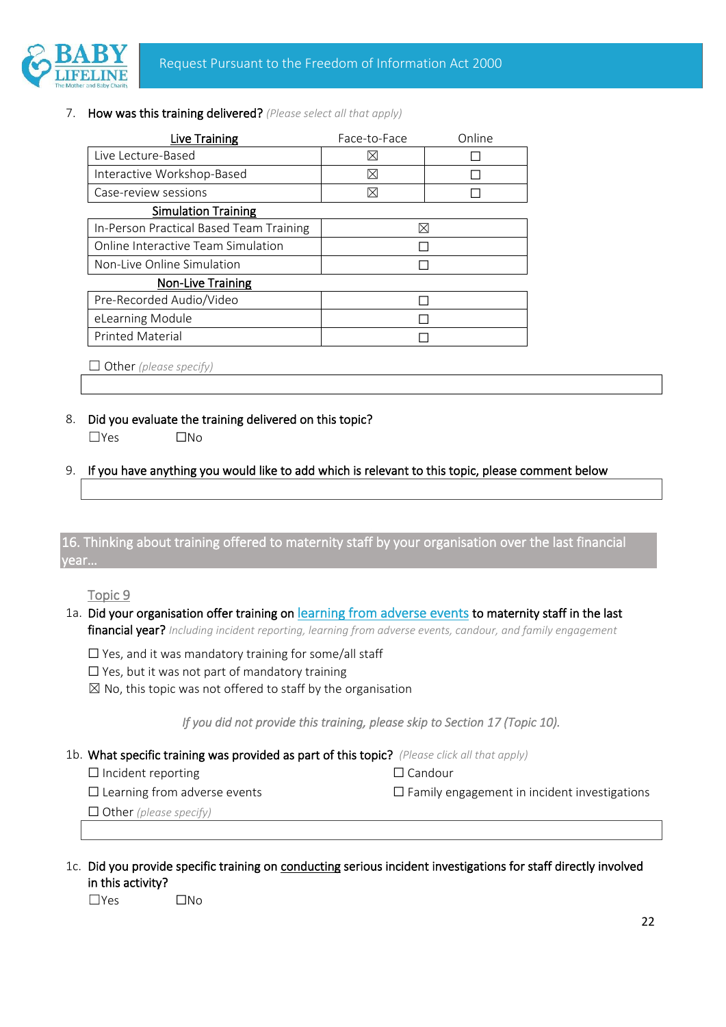

7. How was this training delivered? *(Please select all that apply)*

| <b>Live Training</b>                    | Face-to-Face | Online |
|-----------------------------------------|--------------|--------|
| Live Lecture-Based                      |              |        |
| Interactive Workshop-Based              | ⋉            |        |
| Case-review sessions                    |              |        |
| <b>Simulation Training</b>              |              |        |
| In-Person Practical Based Team Training |              |        |
| Online Interactive Team Simulation      |              |        |
| Non-Live Online Simulation              |              |        |
| <b>Non-Live Training</b>                |              |        |
| Pre-Recorded Audio/Video                |              |        |
| eLearning Module                        |              |        |
| <b>Printed Material</b>                 |              |        |
|                                         |              |        |

☐ Other *(please specify)*

8. Did you evaluate the training delivered on this topic?

☐Yes ☐No

9. If you have anything you would like to add which is relevant to this topic, please comment below

### 16. Thinking about training offered to maternity staff by your organisation over the last financial year…

<span id="page-21-0"></span>Topic 9

| 1a. Did your organisation offer training on learning from adverse events to maternity staff in the last    |  |  |  |
|------------------------------------------------------------------------------------------------------------|--|--|--|
| financial year? Including incident reporting, learning from adverse events, candour, and family engagement |  |  |  |

☐ Yes, and it was mandatory training for some/all staff

- ☐ Yes, but it was not part of mandatory training
- $\boxtimes$  No, this topic was not offered to staff by the organisation

*If you did not provide this training, please skip to Section 17 (Topic 10).* 

### 1b. What specific training was provided as part of this topic? *(Please click all that apply)*

☐ Incident reporting

□ Candour

□ Learning from adverse events

☐ Family engagement in incident investigations

☐ Other *(please specify)*

## 1c. Did you provide specific training on conducting serious incident investigations for staff directly involved in this activity?

☐Yes ☐No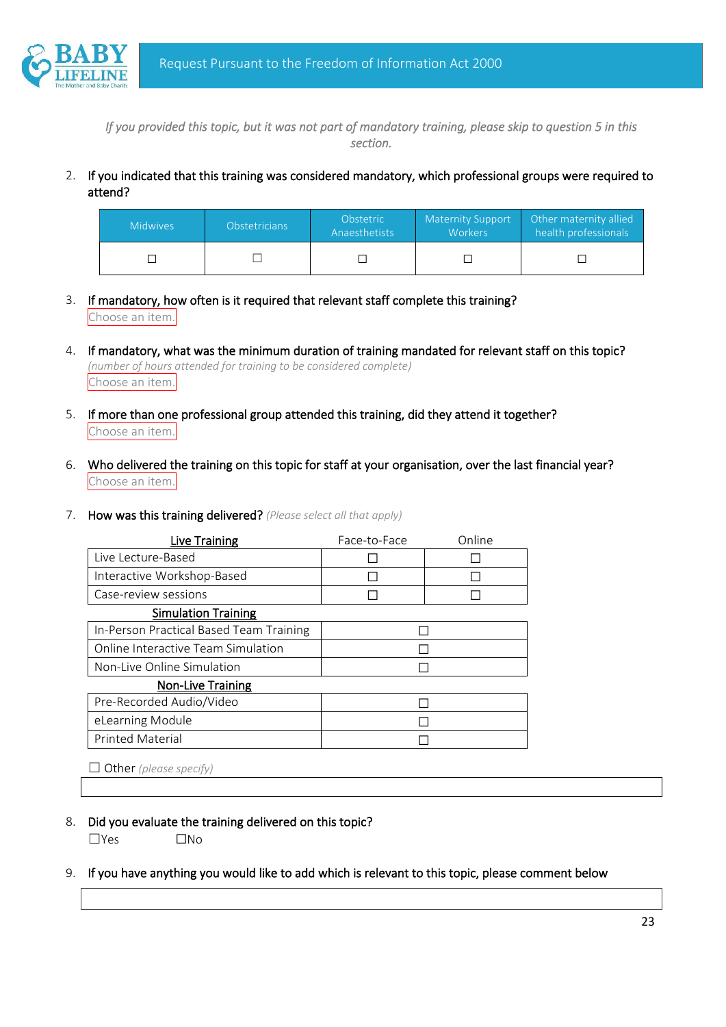

*If you provided this topic, but it was not part of mandatory training, please skip to question 5 in this section.* 

2. If you indicated that this training was considered mandatory, which professional groups were required to attend?

| <b>Midwives</b> | <b>Obstetricians</b> | Obstetric<br>Anaesthetists | Maternity Support<br>Workers | Other maternity allied<br>health professionals |
|-----------------|----------------------|----------------------------|------------------------------|------------------------------------------------|
|                 |                      |                            |                              |                                                |

- 3. If mandatory, how often is it required that relevant staff complete this training? Choose an item.
- 4. If mandatory, what was the minimum duration of training mandated for relevant staff on this topic? *(number of hours attended for training to be considered complete)* Choose an item.
- 5. If more than one professional group attended this training, did they attend it together? Choose an item.
- 6. Who delivered the training on this topic for staff at your organisation, over the last financial year? Choose an item.
- 7. How was this training delivered? *(Please select all that apply)*

| Live Training                           | Face-to-Face | Online |
|-----------------------------------------|--------------|--------|
| Live Lecture-Based                      |              |        |
| Interactive Workshop-Based              |              |        |
| Case-review sessions                    |              |        |
| <b>Simulation Training</b>              |              |        |
| In-Person Practical Based Team Training |              |        |
| Online Interactive Team Simulation      |              |        |
| Non-Live Online Simulation              |              |        |
| <b>Non-Live Training</b>                |              |        |
| Pre-Recorded Audio/Video                |              |        |
| eLearning Module                        |              |        |
| <b>Printed Material</b>                 |              |        |

☐ Other *(please specify)*

8. Did you evaluate the training delivered on this topic?

☐Yes ☐No

#### 9. If you have anything you would like to add which is relevant to this topic, please comment below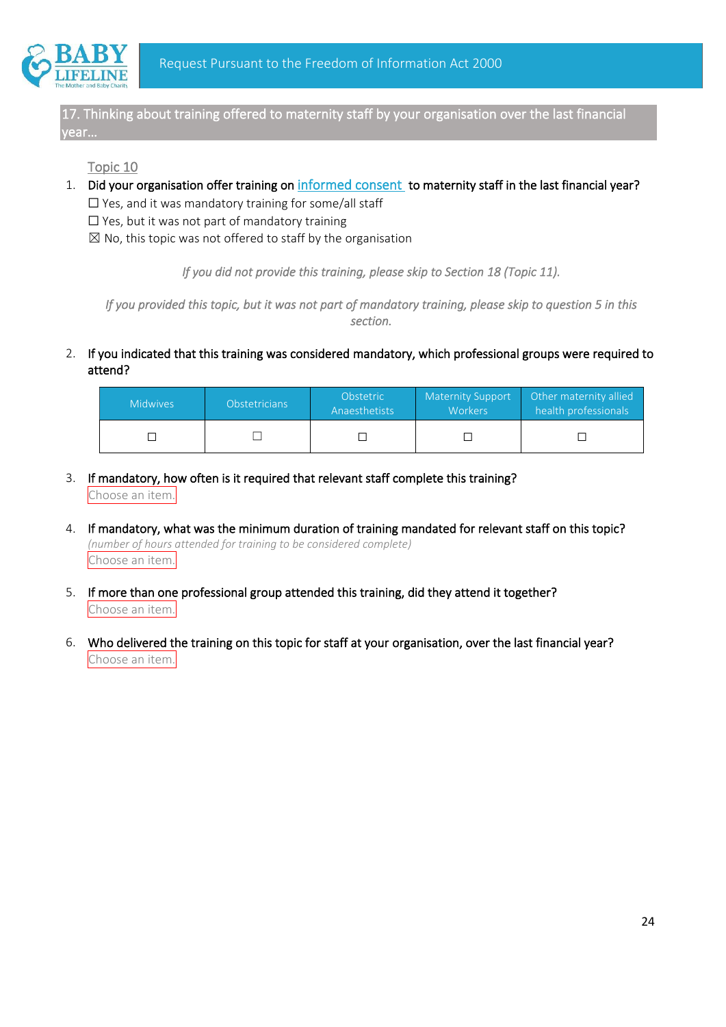

### <span id="page-23-0"></span>Topic 10

- 1. Did your organisation offer training on informed consent to maternity staff in the last financial year?
	- ☐ Yes, and it was mandatory training for some/all staff
	- ☐ Yes, but it was not part of mandatory training
	- $\boxtimes$  No, this topic was not offered to staff by the organisation

*If you did not provide this training, please skip to Section 18 (Topic 11).* 

*If you provided this topic, but it was not part of mandatory training, please skip to question 5 in this section.* 

| <b>Midwives</b> | <b>Obstetricians</b> | <b>Obstetric</b><br><b>Anaesthetists</b> | Maternity Support<br><b>Workers</b> | Other maternity allied<br>health professionals |
|-----------------|----------------------|------------------------------------------|-------------------------------------|------------------------------------------------|
|                 |                      |                                          |                                     |                                                |

- 3. If mandatory, how often is it required that relevant staff complete this training? Choose an item.
- 4. If mandatory, what was the minimum duration of training mandated for relevant staff on this topic? *(number of hours attended for training to be considered complete)* Choose an item.
- 5. If more than one professional group attended this training, did they attend it together? Choose an item.
- 6. Who delivered the training on this topic for staff at your organisation, over the last financial year? Choose an item.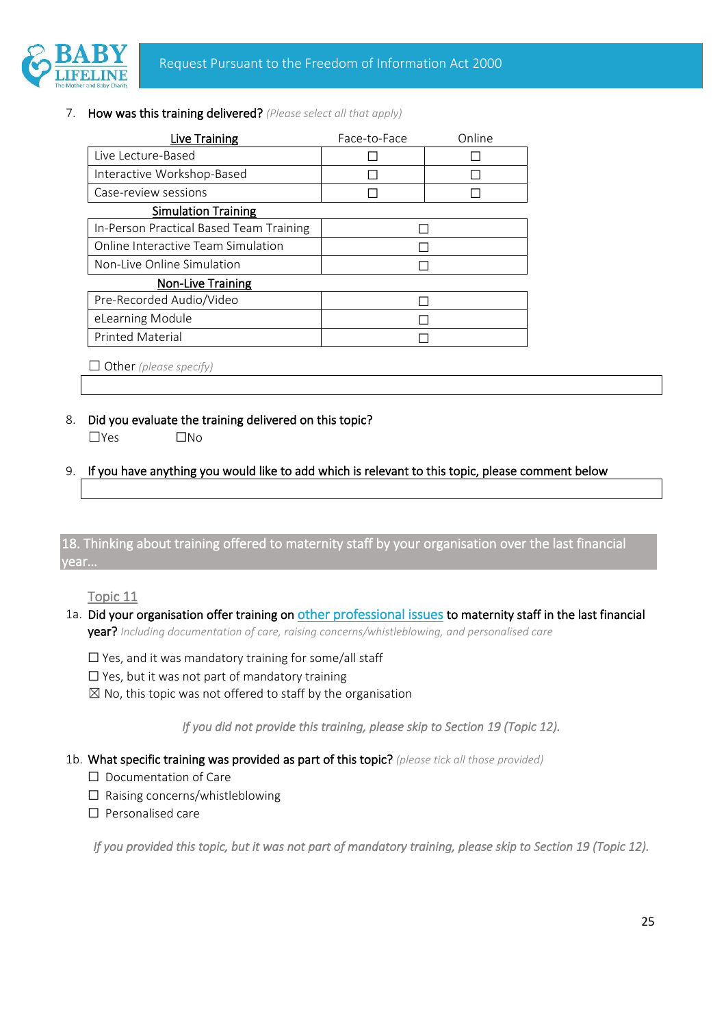

7. How was this training delivered? *(Please select all that apply)*

| <b>Live Training</b>                    | Face-to-Face | Online |  |
|-----------------------------------------|--------------|--------|--|
| Live Lecture-Based                      |              |        |  |
| Interactive Workshop-Based              |              |        |  |
| Case-review sessions                    |              |        |  |
| <b>Simulation Training</b>              |              |        |  |
| In-Person Practical Based Team Training |              |        |  |
| Online Interactive Team Simulation      |              |        |  |
| Non-Live Online Simulation              |              |        |  |
| <b>Non-Live Training</b>                |              |        |  |
| Pre-Recorded Audio/Video                |              |        |  |
| eLearning Module                        |              |        |  |
| <b>Printed Material</b>                 |              |        |  |
|                                         |              |        |  |

☐ Other *(please specify)*

- 8. Did you evaluate the training delivered on this topic?
	- $\Box$ Yes  $\Box$ No
- 9. If you have anything you would like to add which is relevant to this topic, please comment below

## 18. Thinking about training offered to maternity staff by your organisation over the last financial year…

<span id="page-24-0"></span>Topic 11

- 1a. Did your organisation offer training on other professional issues to maternity staff in the last financial year? *Including documentation of care, raising concerns/whistleblowing, and personalised care*
	- ☐ Yes, and it was mandatory training for some/all staff
	- ☐ Yes, but it was not part of mandatory training
	- $\boxtimes$  No, this topic was not offered to staff by the organisation

*If you did not provide this training, please skip to Section 19 (Topic 12).* 

- 1b. What specific training was provided as part of this topic? *(please tick all those provided)*
	- □ Documentation of Care
	- ☐ Raising concerns/whistleblowing
	- ☐ Personalised care

*If you provided this topic, but it was not part of mandatory training, please skip to Section 19 (Topic 12).*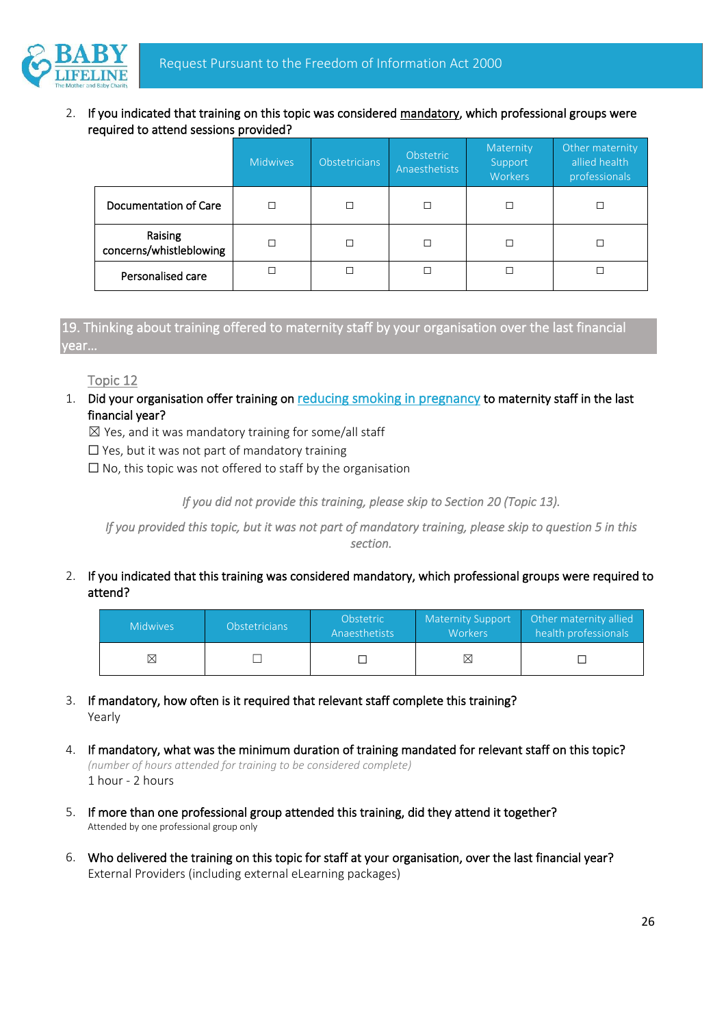

2. If you indicated that training on this topic was considered mandatory, which professional groups were required to attend sessions provided?

|                                    | <b>Midwives</b> | Obstetricians | Obstetric<br>Anaesthetists | Maternity<br>Support<br>Workers | Other maternity<br>$\mathsf{l}$ allied health $\mathsf{l}'$<br>professionals |
|------------------------------------|-----------------|---------------|----------------------------|---------------------------------|------------------------------------------------------------------------------|
| Documentation of Care              | □               | □             |                            | □                               | □                                                                            |
| Raising<br>concerns/whistleblowing | П               | П             |                            | □                               | □                                                                            |
| Personalised care                  | п               | □             |                            | □                               |                                                                              |

19. Thinking about training offered to maternity staff by your organisation over the last financial year…

<span id="page-25-0"></span>Topic 12

1. Did your organisation offer training on reducing smoking in pregnancy to maternity staff in the last financial year?

 $\boxtimes$  Yes, and it was mandatory training for some/all staff

 $\Box$  Yes, but it was not part of mandatory training

 $\Box$  No, this topic was not offered to staff by the organisation

*If you did not provide this training, please skip to Section 20 (Topic 13).* 

*If you provided this topic, but it was not part of mandatory training, please skip to question 5 in this section.* 

| <b>Midwives</b> | <b>Obstetricians</b> | Obstetric<br>Anaesthetists | <b>Maternity Support</b><br><b>Workers</b> | Other maternity allied<br>health professionals |
|-----------------|----------------------|----------------------------|--------------------------------------------|------------------------------------------------|
| ⊠               |                      |                            | ⊠                                          |                                                |

- 3. If mandatory, how often is it required that relevant staff complete this training? Yearly
- 4. If mandatory, what was the minimum duration of training mandated for relevant staff on this topic? *(number of hours attended for training to be considered complete)* 1 hour - 2 hours
- 5. If more than one professional group attended this training, did they attend it together? Attended by one professional group only
- 6. Who delivered the training on this topic for staff at your organisation, over the last financial year? External Providers (including external eLearning packages)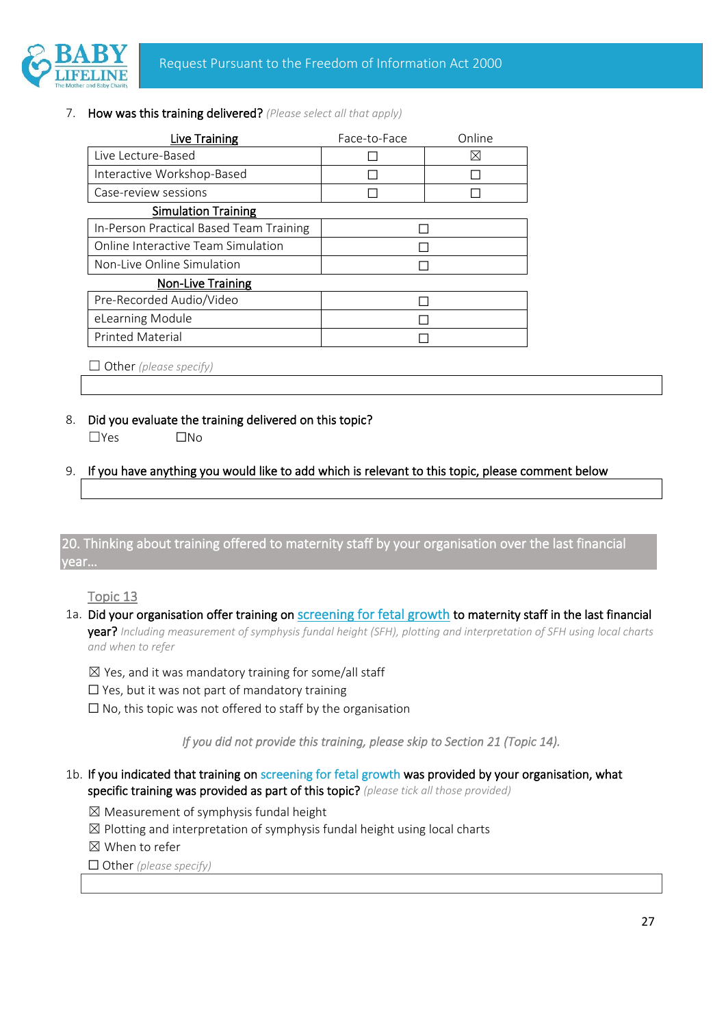

7. How was this training delivered? *(Please select all that apply)*

| Live Training                           | Face-to-Face | Online |
|-----------------------------------------|--------------|--------|
| Live Lecture-Based                      |              | ⋈      |
| Interactive Workshop-Based              |              |        |
| Case-review sessions                    |              |        |
| <b>Simulation Training</b>              |              |        |
| In-Person Practical Based Team Training |              |        |
| Online Interactive Team Simulation      |              |        |
| Non-Live Online Simulation              |              |        |
| <b>Non-Live Training</b>                |              |        |
| Pre-Recorded Audio/Video                |              |        |
| eLearning Module                        |              |        |
| <b>Printed Material</b>                 |              |        |
|                                         |              |        |

☐ Other *(please specify)*

- 8. Did you evaluate the training delivered on this topic?
	- $\Box$ Yes  $\Box$ No
- 9. If you have anything you would like to add which is relevant to this topic, please comment below

## 20. Thinking about training offered to maternity staff by your organisation over the last financial year…

<span id="page-26-0"></span>Topic 13

- 1a. Did your organisation offer training on screening for fetal growth to maternity staff in the last financial year? *Including measurement of symphysis fundal height (SFH), plotting and interpretation of SFH using local charts and when to refer*
	- $\boxtimes$  Yes, and it was mandatory training for some/all staff
	- ☐ Yes, but it was not part of mandatory training
	- $\Box$  No, this topic was not offered to staff by the organisation

*If you did not provide this training, please skip to Section 21 (Topic 14).* 

### 1b. If you indicated that training on screening for fetal growth was provided by your organisation, what specific training was provided as part of this topic? *(please tick all those provided)*

- $\boxtimes$  Measurement of symphysis fundal height
- $\boxtimes$  Plotting and interpretation of symphysis fundal height using local charts
- ☒ When to refer

☐ Other *(please specify)*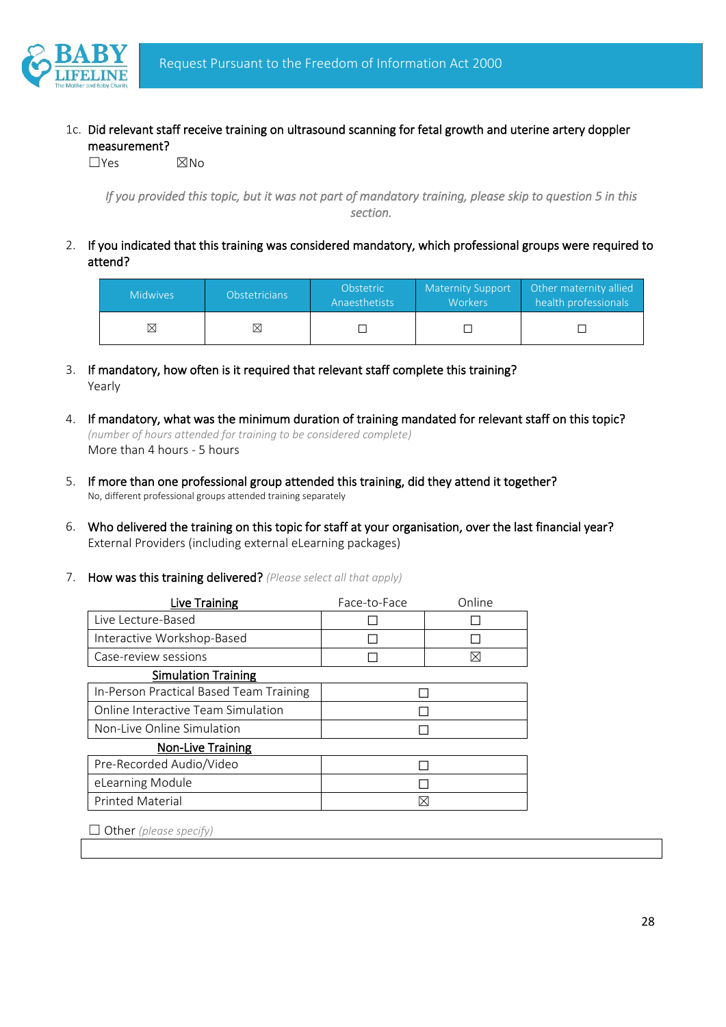

1c. Did relevant staff receive training on ultrasound scanning for fetal growth and uterine artery doppler measurement?

 $\square$ Yes  $\square$ No

*If you provided this topic, but it was not part of mandatory training, please skip to question 5 in this section.* 

2. If you indicated that this training was considered mandatory, which professional groups were required to attend?

| <b>Midwives</b> | Obstetricians | <b>Obstetric</b><br>Anaesthetists | <b>Maternity Support</b><br><b>Workers</b> | Other maternity allied<br>health professionals |
|-----------------|---------------|-----------------------------------|--------------------------------------------|------------------------------------------------|
| $\boxtimes$     | ⊠             |                                   |                                            |                                                |

- 3. If mandatory, how often is it required that relevant staff complete this training? Yearly
- 4. If mandatory, what was the minimum duration of training mandated for relevant staff on this topic? *(number of hours attended for training to be considered complete)* More than 4 hours - 5 hours
- 5. If more than one professional group attended this training, did they attend it together? No, different professional groups attended training separately
- 6. Who delivered the training on this topic for staff at your organisation, over the last financial year? External Providers (including external eLearning packages)
- 7. How was this training delivered? *(Please select all that apply)*

| <b>Live Training</b>                    | Face-to-Face | Online |
|-----------------------------------------|--------------|--------|
| Live Lecture-Based                      |              |        |
| Interactive Workshop-Based              |              |        |
| Case-review sessions                    |              |        |
| <b>Simulation Training</b>              |              |        |
| In-Person Practical Based Team Training |              |        |
| Online Interactive Team Simulation      |              |        |
| Non-Live Online Simulation              |              |        |
| <b>Non-Live Training</b>                |              |        |
| Pre-Recorded Audio/Video                |              |        |
| eLearning Module                        |              |        |
| <b>Printed Material</b>                 |              |        |
|                                         |              |        |

☐ Other *(please specify)*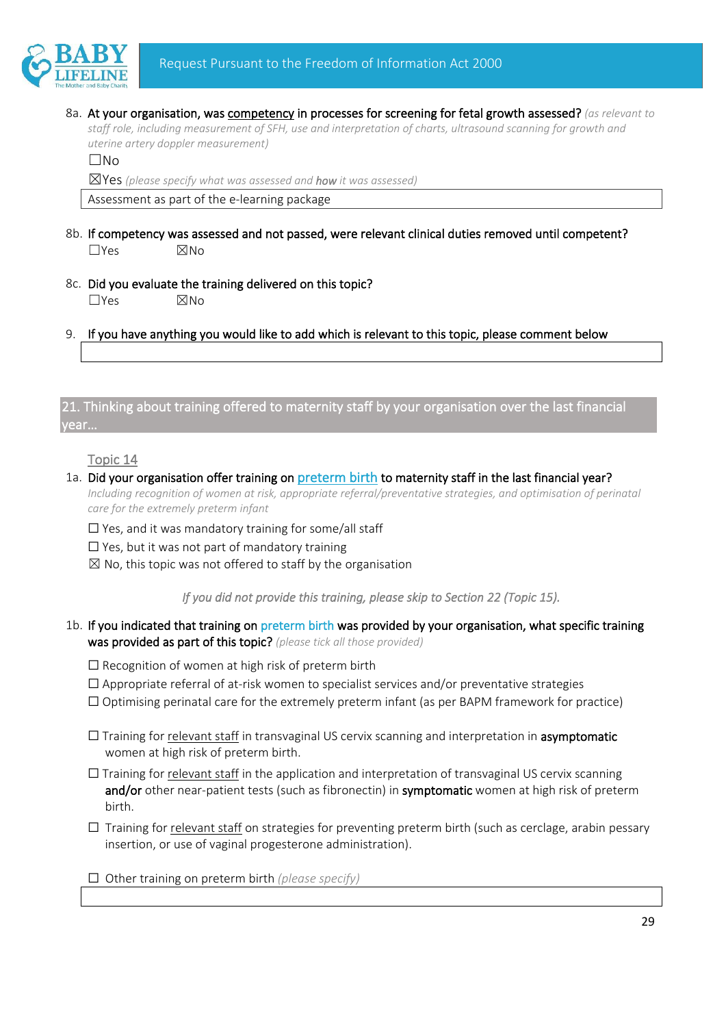

8a. At your organisation, was competency in processes for screening for fetal growth assessed? *(as relevant to staff role, including measurement of SFH, use and interpretation of charts, ultrasound scanning for growth and uterine artery doppler measurement)*

☐No

☒Yes *(please specify what was assessed and how it was assessed)* Assessment as part of the e-learning package

- 8b. If competency was assessed and not passed, were relevant clinical duties removed until competent?  $\Box$ Yes  $\boxtimes$ No
- 8c. Did you evaluate the training delivered on this topic? ☐Yes ☒No

9. If you have anything you would like to add which is relevant to this topic, please comment below

## 21. Thinking about training offered to maternity staff by your organisation over the last financial year…

<span id="page-28-0"></span>Topic 14

1a. Did your organisation offer training on preterm birth to maternity staff in the last financial year?

*Including recognition of women at risk, appropriate referral/preventative strategies, and optimisation of perinatal care for the extremely preterm infant*

- ☐ Yes, and it was mandatory training for some/all staff
- $\Box$  Yes, but it was not part of mandatory training
- $\boxtimes$  No, this topic was not offered to staff by the organisation

*If you did not provide this training, please skip to Section 22 (Topic 15).* 

- 1b. If you indicated that training on preterm birth was provided by your organisation, what specific training was provided as part of this topic? *(please tick all those provided)*
	- $\Box$  Recognition of women at high risk of preterm birth
	- $\Box$  Appropriate referral of at-risk women to specialist services and/or preventative strategies
	- ☐ Optimising perinatal care for the extremely preterm infant (as per BAPM framework for practice)
	- □ Training for relevant staff in transvaginal US cervix scanning and interpretation in asymptomatic women at high risk of preterm birth.
	- $\Box$  Training for relevant staff in the application and interpretation of transvaginal US cervix scanning and/or other near-patient tests (such as fibronectin) in symptomatic women at high risk of preterm birth.
	- $\Box$  Training for relevant staff on strategies for preventing preterm birth (such as cerclage, arabin pessary insertion, or use of vaginal progesterone administration).

☐ Other training on preterm birth *(please specify)*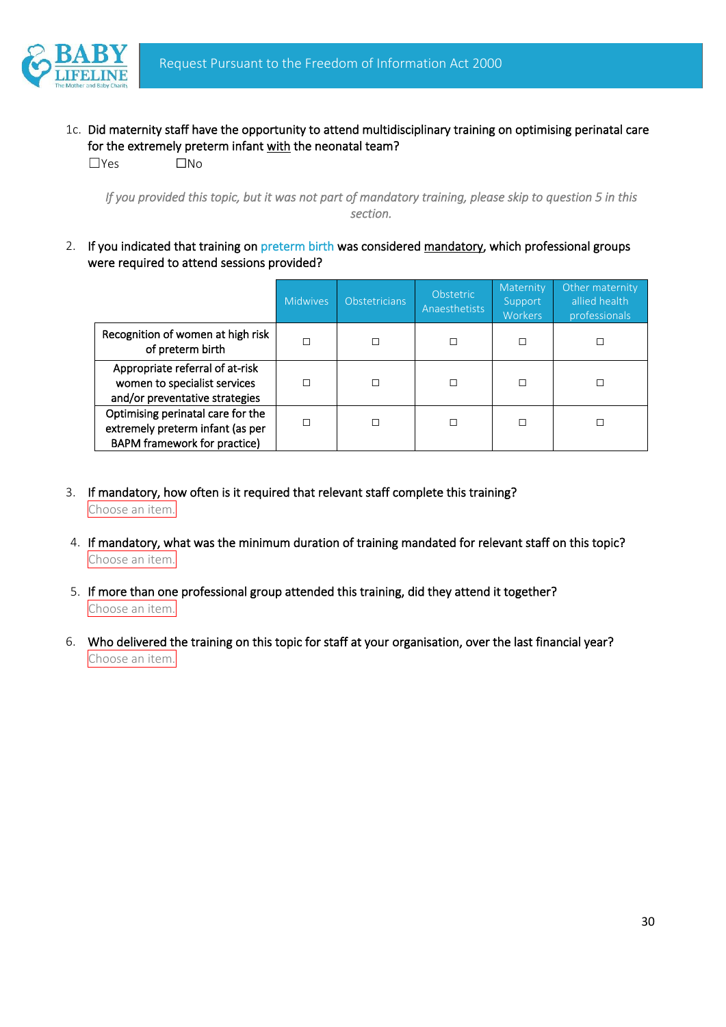

1c. Did maternity staff have the opportunity to attend multidisciplinary training on optimising perinatal care for the extremely preterm infant with the neonatal team?

☐Yes ☐No

*If you provided this topic, but it was not part of mandatory training, please skip to question 5 in this section.* 

2. If you indicated that training on preterm birth was considered mandatory, which professional groups were required to attend sessions provided?

|                                                                                                       | <b>Midwives</b> | <b>Obstetricians</b> | Obstetric<br><b>Anaesthetists</b> | Maternity<br>Support<br><b>Workers</b> | Other maternity<br>allied health<br>professionals |
|-------------------------------------------------------------------------------------------------------|-----------------|----------------------|-----------------------------------|----------------------------------------|---------------------------------------------------|
| Recognition of women at high risk<br>of preterm birth                                                 | □               |                      | □                                 |                                        |                                                   |
| Appropriate referral of at-risk<br>women to specialist services<br>and/or preventative strategies     | П               |                      | □                                 |                                        |                                                   |
| Optimising perinatal care for the<br>extremely preterm infant (as per<br>BAPM framework for practice) | $\Box$          |                      | г                                 |                                        |                                                   |

- 3. If mandatory, how often is it required that relevant staff complete this training? Choose an item.
- 4. If mandatory, what was the minimum duration of training mandated for relevant staff on this topic? Choose an item.
- 5. If more than one professional group attended this training, did they attend it together? Choose an item.
- 6. Who delivered the training on this topic for staff at your organisation, over the last financial year? Choose an item.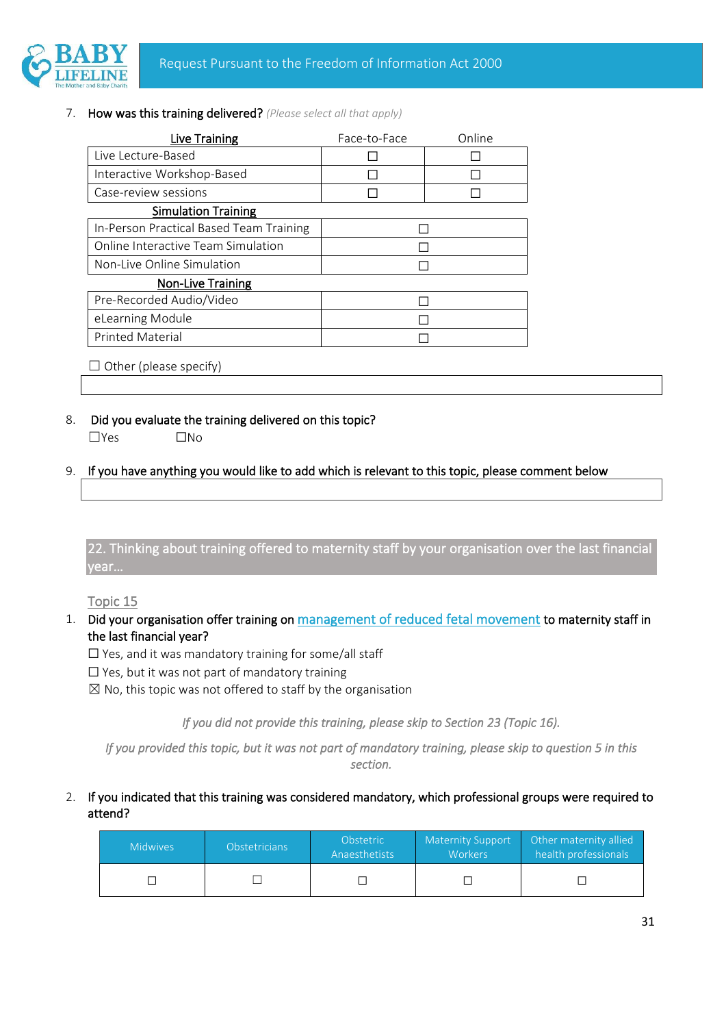

7. How was this training delivered? *(Please select all that apply)*

| <b>Live Training</b>                    | Face-to-Face | Online |  |
|-----------------------------------------|--------------|--------|--|
| Live Lecture-Based                      |              |        |  |
| Interactive Workshop-Based              |              |        |  |
| Case-review sessions                    |              |        |  |
| <b>Simulation Training</b>              |              |        |  |
| In-Person Practical Based Team Training |              |        |  |
| Online Interactive Team Simulation      |              |        |  |
| Non-Live Online Simulation              |              |        |  |
| <b>Non-Live Training</b>                |              |        |  |
| Pre-Recorded Audio/Video                |              |        |  |
| eLearning Module                        |              |        |  |
| <b>Printed Material</b>                 |              |        |  |
|                                         |              |        |  |

 $\Box$  Other (please specify)

8. Did you evaluate the training delivered on this topic?

 $\Box$ Yes  $\Box$ No

9. If you have anything you would like to add which is relevant to this topic, please comment below

22. Thinking about training offered to maternity staff by your organisation over the last financial year…

<span id="page-30-0"></span>Topic 15

1. Did your organisation offer training on management of reduced fetal movement to maternity staff in the last financial year?

☐ Yes, and it was mandatory training for some/all staff

☐ Yes, but it was not part of mandatory training

 $\boxtimes$  No, this topic was not offered to staff by the organisation

*If you did not provide this training, please skip to Section 23 (Topic 16).* 

*If you provided this topic, but it was not part of mandatory training, please skip to question 5 in this section.* 

| <b>Midwives</b> | <b>Obstetricians</b> | Obstetric<br>Anaesthetists | <b>Maternity Support</b><br><b>Workers</b> | Other maternity allied,<br>health professionals |
|-----------------|----------------------|----------------------------|--------------------------------------------|-------------------------------------------------|
|                 |                      |                            |                                            |                                                 |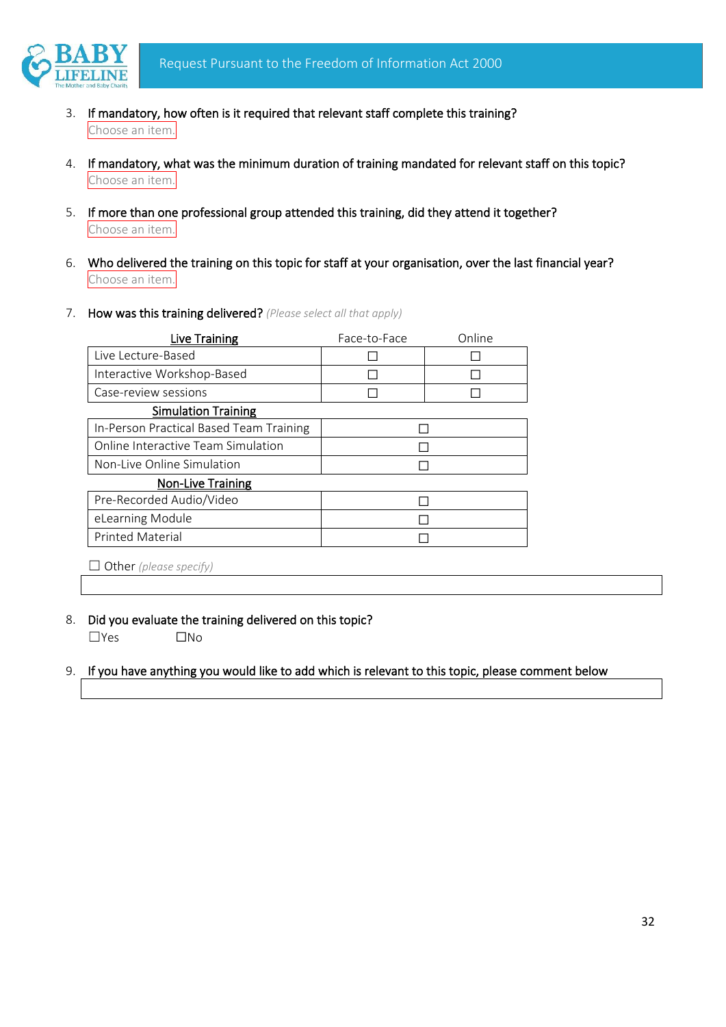

- 3. If mandatory, how often is it required that relevant staff complete this training? Choose an item.
- 4. If mandatory, what was the minimum duration of training mandated for relevant staff on this topic? Choose an item.
- 5. If more than one professional group attended this training, did they attend it together? Choose an item.
- 6. Who delivered the training on this topic for staff at your organisation, over the last financial year? Choose an item.
- 7. How was this training delivered? *(Please select all that apply)*

| Face-to-Face | Online |
|--------------|--------|
|              |        |
|              |        |
|              |        |
|              |        |
|              |        |
|              |        |
|              |        |
|              |        |
|              |        |
|              |        |
|              |        |
|              |        |

☐ Other *(please specify)*

8. Did you evaluate the training delivered on this topic?

☐Yes ☐No

9. If you have anything you would like to add which is relevant to this topic, please comment below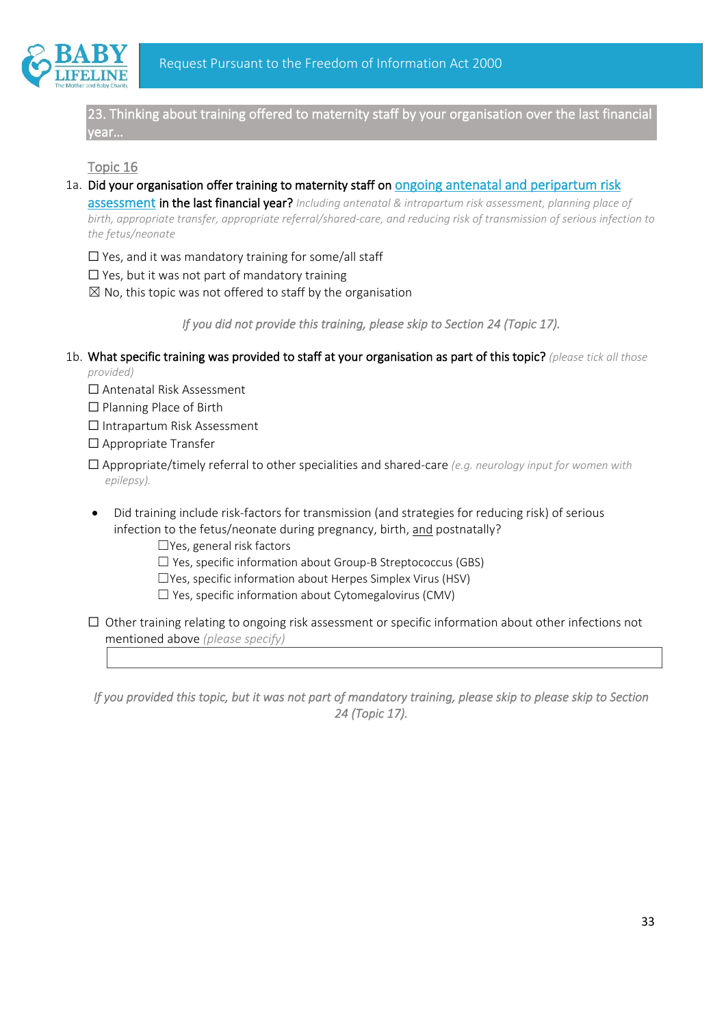

<span id="page-32-0"></span>Topic 16

1a. Did your organisation offer training to maternity staff on ongoing antenatal and peripartum risk assessment in the last financial year? *Including antenatal & intrapartum risk assessment, planning place of* 

*birth, appropriate transfer, appropriate referral/shared-care, and reducing risk of transmission of serious infection to the fetus/neonate*

- ☐ Yes, and it was mandatory training for some/all staff
- ☐ Yes, but it was not part of mandatory training
- $\boxtimes$  No, this topic was not offered to staff by the organisation

*If you did not provide this training, please skip to Section 24 (Topic 17).* 

- 1b. What specific training was provided to staff at your organisation as part of this topic? *(please tick all those provided)*
	- ☐ Antenatal Risk Assessment
	- ☐ Planning Place of Birth
	- ☐ Intrapartum Risk Assessment
	- □ Appropriate Transfer
	- ☐ Appropriate/timely referral to other specialities and shared-care *(e.g. neurology input for women with epilepsy).*
	- Did training include risk-factors for transmission (and strategies for reducing risk) of serious infection to the fetus/neonate during pregnancy, birth, and postnatally?
		- ☐Yes, general risk factors
		- ☐ Yes, specific information about Group-B Streptococcus (GBS)
		- ☐Yes, specific information about Herpes Simplex Virus (HSV)
		- $\Box$  Yes, specific information about Cytomegalovirus (CMV)
	- $\Box$  Other training relating to ongoing risk assessment or specific information about other infections not mentioned above *(please specify)*

*If you provided this topic, but it was not part of mandatory training, please skip to please skip to Section 24 (Topic 17).*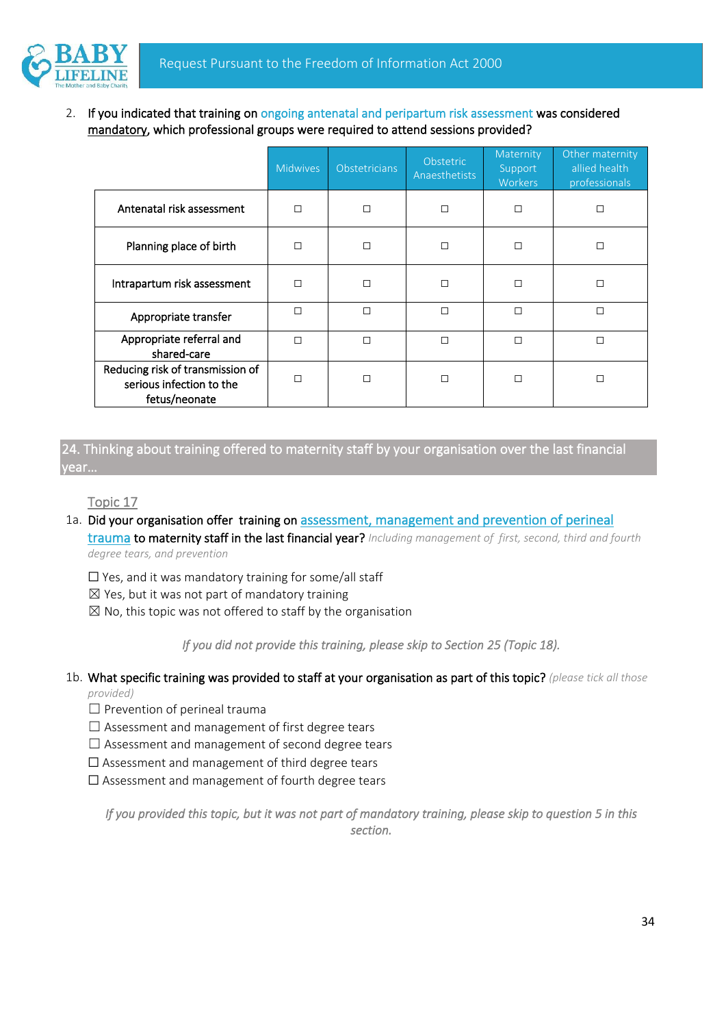2. If you indicated that training on ongoing antenatal and peripartum risk assessment was considered mandatory, which professional groups were required to attend sessions provided?

|                                                                               | <b>Midwives</b> | <b>Obstetricians</b> | Obstetric<br>Anaesthetists | Maternity<br>Support<br><b>Workers</b> | Other maternity<br>allied health<br>professionals |
|-------------------------------------------------------------------------------|-----------------|----------------------|----------------------------|----------------------------------------|---------------------------------------------------|
| Antenatal risk assessment                                                     | П               | □                    | $\Box$                     | □                                      | □                                                 |
| Planning place of birth                                                       | П               | П                    | П                          | П                                      | П                                                 |
| Intrapartum risk assessment                                                   | П               | П                    | П                          | П                                      | □                                                 |
| Appropriate transfer                                                          | П               | П                    | П                          | П                                      | П                                                 |
| Appropriate referral and<br>shared-care                                       | П               | □                    | □                          | П                                      | □                                                 |
| Reducing risk of transmission of<br>serious infection to the<br>fetus/neonate | П               | П                    | П                          | п                                      | П                                                 |

24. Thinking about training offered to maternity staff by your organisation over the last financial year…

### <span id="page-33-0"></span>Topic 17

- 1a. Did your organisation offer training on assessment, management and prevention of perineal trauma to maternity staff in the last financial year? *Including management of first, second, third and fourth degree tears, and prevention*
	- $\Box$  Yes, and it was mandatory training for some/all staff
	- $\boxtimes$  Yes, but it was not part of mandatory training
	- $\boxtimes$  No, this topic was not offered to staff by the organisation

*If you did not provide this training, please skip to Section 25 (Topic 18).* 

- 1b. What specific training was provided to staff at your organisation as part of this topic? *(please tick all those provided)*
	- $\Box$  Prevention of perineal trauma
	- □ Assessment and management of first degree tears
	- $\Box$  Assessment and management of second degree tears
	- $\Box$  Assessment and management of third degree tears
	- □ Assessment and management of fourth degree tears

*If you provided this topic, but it was not part of mandatory training, please skip to question 5 in this section.*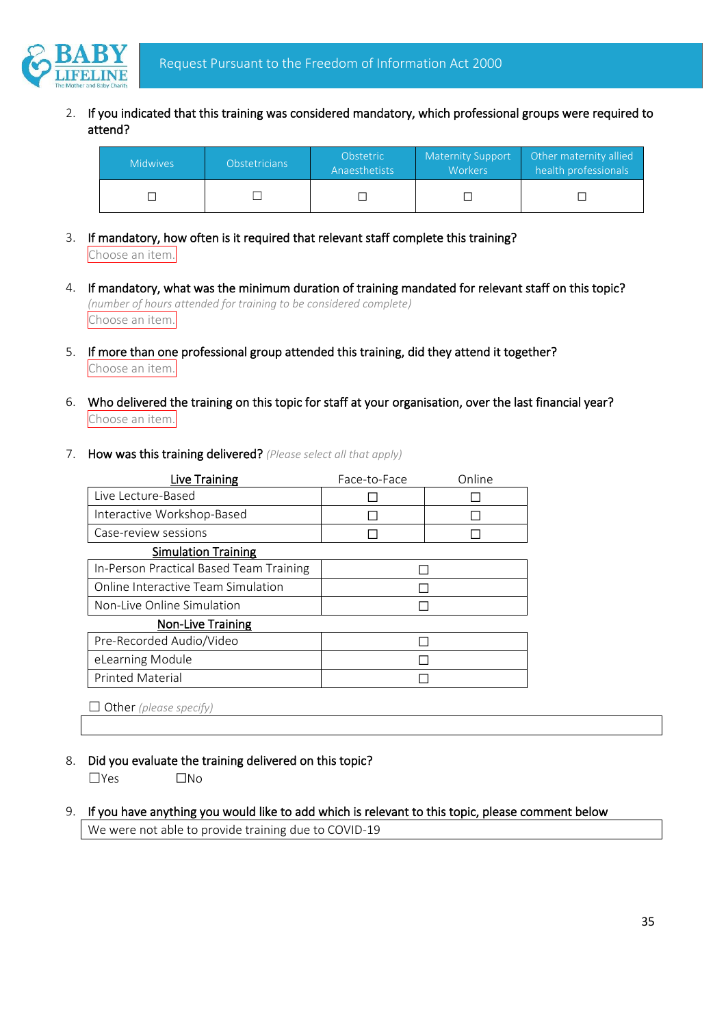

2. If you indicated that this training was considered mandatory, which professional groups were required to attend?

| <b>Midwives</b> | <b>Obstetricians</b> | Obstetric<br>Anaesthetists | <b>Maternity Support</b><br><b>Workers</b> | Other maternity allied<br>health professionals |
|-----------------|----------------------|----------------------------|--------------------------------------------|------------------------------------------------|
|                 |                      |                            |                                            |                                                |

- 3. If mandatory, how often is it required that relevant staff complete this training? Choose an item.
- 4. If mandatory, what was the minimum duration of training mandated for relevant staff on this topic? *(number of hours attended for training to be considered complete)* Choose an item.
- 5. If more than one professional group attended this training, did they attend it together? Choose an item.
- 6. Who delivered the training on this topic for staff at your organisation, over the last financial year? Choose an item.
- 7. How was this training delivered? *(Please select all that apply)*

| Live Training                           | Face-to-Face | Online |
|-----------------------------------------|--------------|--------|
| Live Lecture-Based                      |              |        |
| Interactive Workshop-Based              |              |        |
| Case-review sessions                    |              |        |
| <b>Simulation Training</b>              |              |        |
| In-Person Practical Based Team Training |              |        |
| Online Interactive Team Simulation      |              |        |
| Non-Live Online Simulation              |              |        |
| <b>Non-Live Training</b>                |              |        |
| Pre-Recorded Audio/Video                |              |        |
| eLearning Module                        |              |        |
| <b>Printed Material</b>                 |              |        |
|                                         |              |        |

- ☐ Other *(please specify)*
- 8. Did you evaluate the training delivered on this topic?

☐Yes ☐No

9. If you have anything you would like to add which is relevant to this topic, please comment below

We were not able to provide training due to COVID-19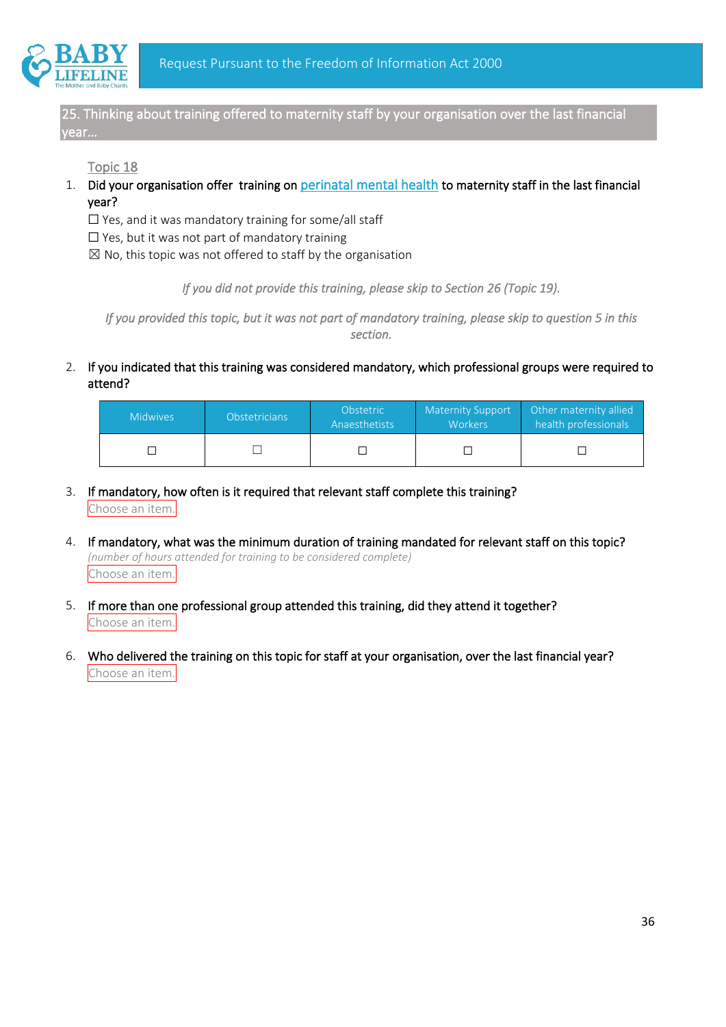

<span id="page-35-0"></span>Topic 18

- 1. Did your organisation offer training on perinatal mental health to maternity staff in the last financial year?
	- ☐ Yes, and it was mandatory training for some/all staff
	- ☐ Yes, but it was not part of mandatory training
	- $\boxtimes$  No, this topic was not offered to staff by the organisation

*If you did not provide this training, please skip to Section 26 (Topic 19).* 

*If you provided this topic, but it was not part of mandatory training, please skip to question 5 in this section.* 

| <b>Midwives</b> | <b>Obstetricians</b> | Obstetric<br>Anaesthetists | <b>Maternity Support</b><br><b>Workers</b> | Other maternity allied<br>health professionals |
|-----------------|----------------------|----------------------------|--------------------------------------------|------------------------------------------------|
|                 |                      |                            |                                            |                                                |

- 3. If mandatory, how often is it required that relevant staff complete this training? Choose an item.
- 4. If mandatory, what was the minimum duration of training mandated for relevant staff on this topic? *(number of hours attended for training to be considered complete)* Choose an item.
- 5. If more than one professional group attended this training, did they attend it together? Choose an item.
- 6. Who delivered the training on this topic for staff at your organisation, over the last financial year? Choose an item.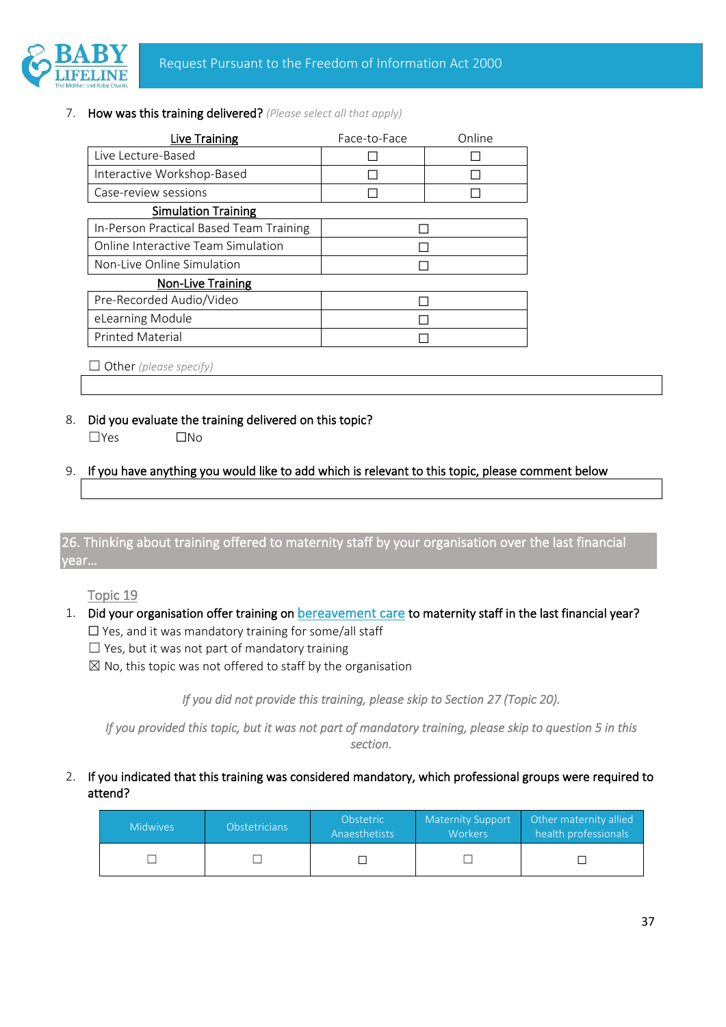

7. How was this training delivered? *(Please select all that apply)*

| Live Training                           | Face-to-Face | Online |
|-----------------------------------------|--------------|--------|
| Live Lecture-Based                      |              |        |
| Interactive Workshop-Based              |              |        |
| Case-review sessions                    |              |        |
| <b>Simulation Training</b>              |              |        |
| In-Person Practical Based Team Training |              |        |
| Online Interactive Team Simulation      |              |        |
| Non-Live Online Simulation              |              |        |
| <b>Non-Live Training</b>                |              |        |
| Pre-Recorded Audio/Video                |              |        |
| eLearning Module                        |              |        |
| <b>Printed Material</b>                 |              |        |
|                                         |              |        |

☐ Other *(please specify)*

- 8. Did you evaluate the training delivered on this topic?
	- $\Box$ Yes  $\Box$ No
- 9. If you have anything you would like to add which is relevant to this topic, please comment below

### 26. Thinking about training offered to maternity staff by your organisation over the last financial year…

<span id="page-36-0"></span>Topic 19

- 1. Did your organisation offer training on **bereavement care to maternity staff in the last financial year?** ☐ Yes, and it was mandatory training for some/all staff
	- $\Box$  Yes, but it was not part of mandatory training
	- $\boxtimes$  No, this topic was not offered to staff by the organisation

*If you did not provide this training, please skip to Section 27 (Topic 20).* 

*If you provided this topic, but it was not part of mandatory training, please skip to question 5 in this section.* 

| <b>Midwives</b> | <b>Obstetricians</b> | Obstetric<br>Anaesthetists | Maternity Support<br><b>Workers</b> | Other maternity allied<br>health professionals |
|-----------------|----------------------|----------------------------|-------------------------------------|------------------------------------------------|
|                 |                      |                            |                                     |                                                |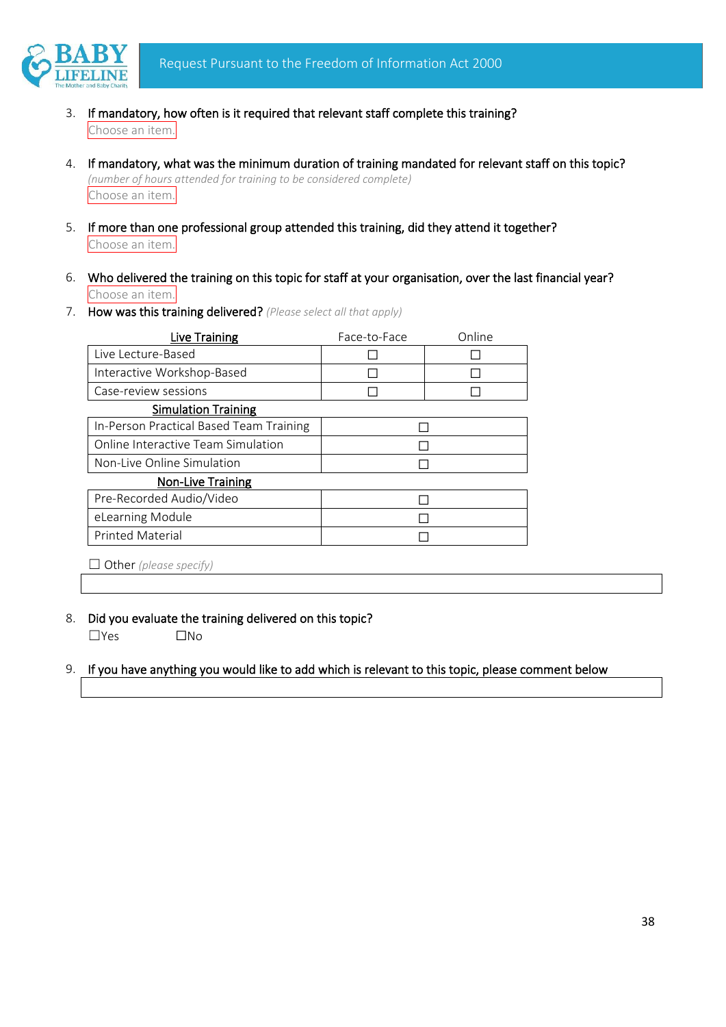

- 3. If mandatory, how often is it required that relevant staff complete this training? Choose an item.
- 4. If mandatory, what was the minimum duration of training mandated for relevant staff on this topic? *(number of hours attended for training to be considered complete)* Choose an item.
- 5. If more than one professional group attended this training, did they attend it together? Choose an item.
- 6. Who delivered the training on this topic for staff at your organisation, over the last financial year? Choose an item.
- 7. How was this training delivered? *(Please select all that apply)*

| Live Training                           | Face-to-Face | Online |
|-----------------------------------------|--------------|--------|
| Live Lecture-Based                      |              |        |
| Interactive Workshop-Based              |              |        |
| Case-review sessions                    |              |        |
| <b>Simulation Training</b>              |              |        |
| In-Person Practical Based Team Training |              |        |
| Online Interactive Team Simulation      |              |        |
| Non-Live Online Simulation              |              |        |
| <b>Non-Live Training</b>                |              |        |
| Pre-Recorded Audio/Video                |              |        |
| eLearning Module                        |              |        |
| <b>Printed Material</b>                 |              |        |

☐ Other *(please specify)*

8. Did you evaluate the training delivered on this topic?

 $\Box$ Yes  $\Box$ No

#### 9. If you have anything you would like to add which is relevant to this topic, please comment below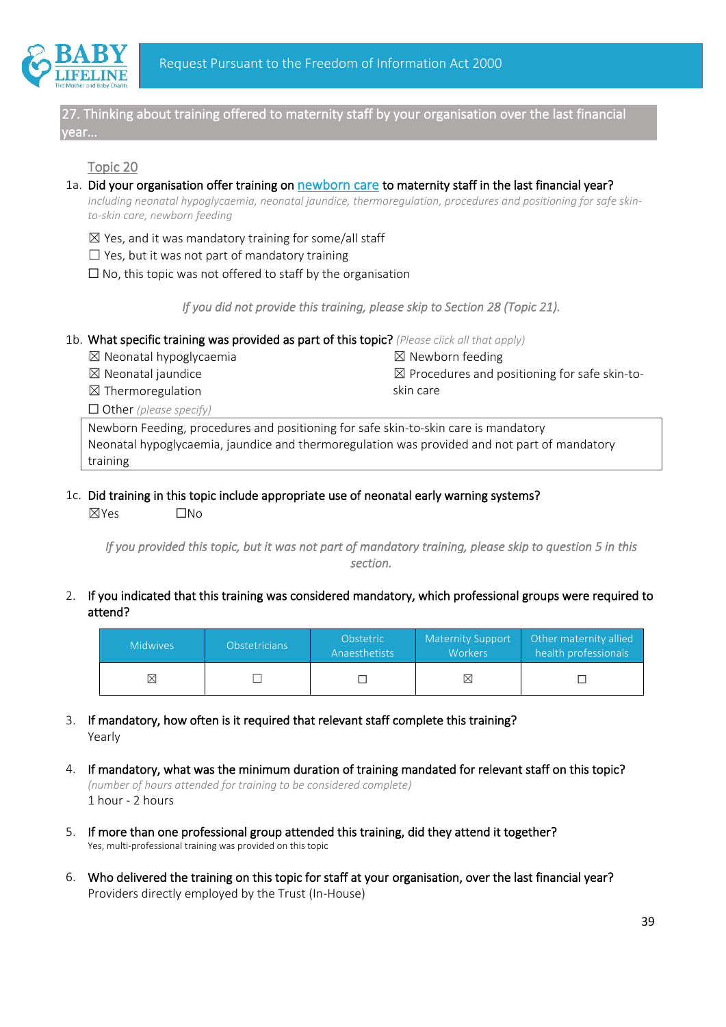

#### <span id="page-38-0"></span>Topic 20

1a. Did your organisation offer training on newborn care to maternity staff in the last financial year? *Including neonatal hypoglycaemia, neonatal jaundice, thermoregulation, procedures and positioning for safe skin-*

*to-skin care, newborn feeding*

- $\boxtimes$  Yes, and it was mandatory training for some/all staff
- $\Box$  Yes, but it was not part of mandatory training
- $\Box$  No, this topic was not offered to staff by the organisation

*If you did not provide this training, please skip to Section 28 (Topic 21).* 

#### 1b. What specific training was provided as part of this topic? *(Please click all that apply)*

- ☒ Neonatal hypoglycaemia
- ☒ Neonatal jaundice
- ☒ Thermoregulation

 $\boxtimes$  Newborn feeding  $\boxtimes$  Procedures and positioning for safe skin-toskin care

☐ Other *(please specify)*

Newborn Feeding, procedures and positioning for safe skin-to-skin care is mandatory Neonatal hypoglycaemia, jaundice and thermoregulation was provided and not part of mandatory training

# 1c. Did training in this topic include appropriate use of neonatal early warning systems?

☒Yes ☐No

*If you provided this topic, but it was not part of mandatory training, please skip to question 5 in this section.* 

| <b>Midwives</b> | <b>Obstetricians</b> | Obstetric<br><b>Anaesthetists</b> | <b>Maternity Support</b><br><b>Workers</b> | Other maternity allied<br>health professionals |
|-----------------|----------------------|-----------------------------------|--------------------------------------------|------------------------------------------------|
| $\bowtie$       |                      |                                   | ⊠                                          |                                                |

- 3. If mandatory, how often is it required that relevant staff complete this training? Yearly
- 4. If mandatory, what was the minimum duration of training mandated for relevant staff on this topic? *(number of hours attended for training to be considered complete)* 1 hour - 2 hours
- 5. If more than one professional group attended this training, did they attend it together? Yes, multi-professional training was provided on this topic
- 6. Who delivered the training on this topic for staff at your organisation, over the last financial year? Providers directly employed by the Trust (In-House)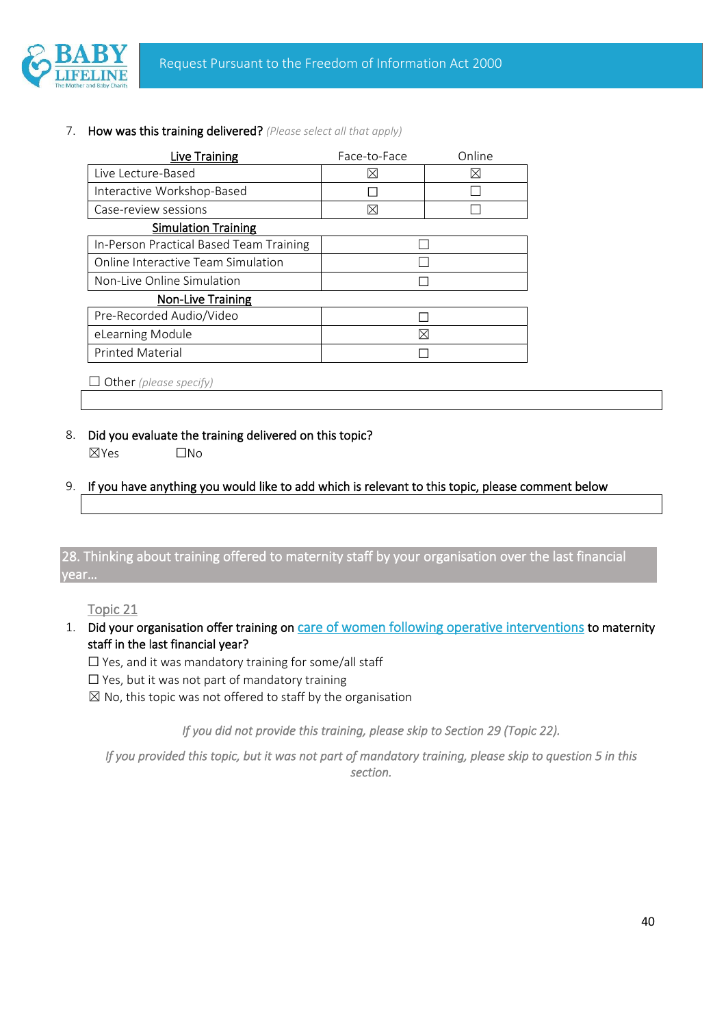

7. How was this training delivered? *(Please select all that apply)*

| Face-to-Face | Online |
|--------------|--------|
| $\boxtimes$  | ⊠      |
|              |        |
| $\boxtimes$  |        |
|              |        |
|              |        |
|              |        |
|              |        |
|              |        |
|              |        |
| $\times$     |        |
|              |        |
|              |        |

☐ Other *(please specify)*

- 8. Did you evaluate the training delivered on this topic?
	- $\boxtimes$ Yes  $\Box$ No
- 9. If you have anything you would like to add which is relevant to this topic, please comment below

## 28. Thinking about training offered to maternity staff by your organisation over the last financial year…

<span id="page-39-0"></span>Topic 21

- 1. Did your organisation offer training on care of women following operative interventions to maternity staff in the last financial year?
	- ☐ Yes, and it was mandatory training for some/all staff
	- ☐ Yes, but it was not part of mandatory training
	- $\boxtimes$  No, this topic was not offered to staff by the organisation

*If you did not provide this training, please skip to Section 29 (Topic 22).* 

*If you provided this topic, but it was not part of mandatory training, please skip to question 5 in this section.*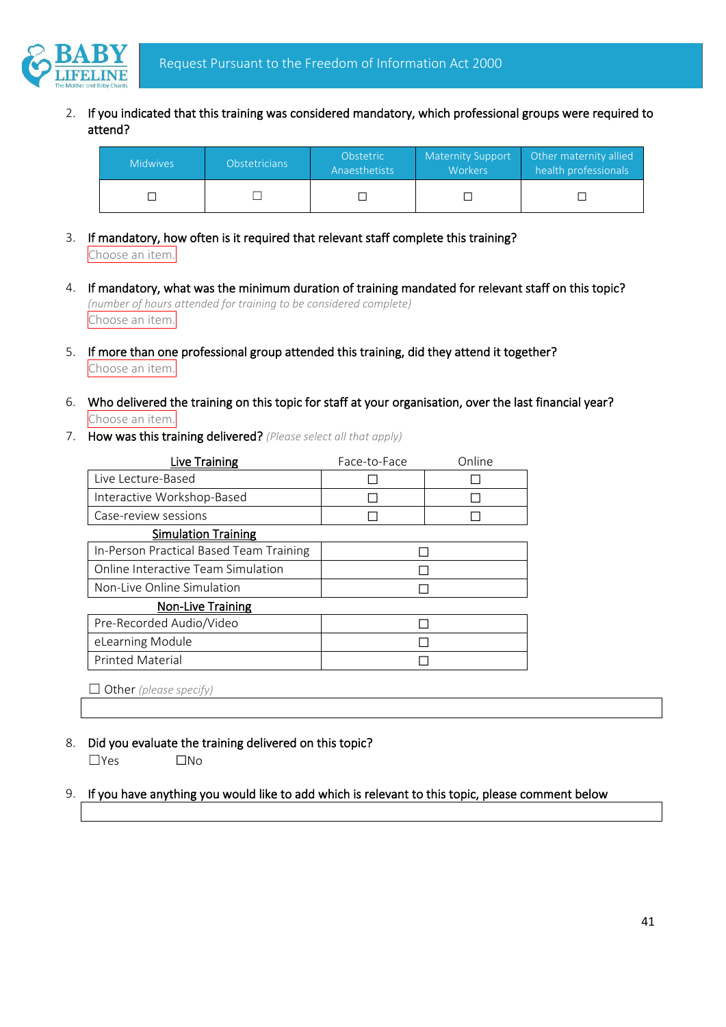

2. If you indicated that this training was considered mandatory, which professional groups were required to attend?

| <b>Midwives</b> | <b>Obstetricians</b> | Obstetric<br>Anaesthetists | <b>Maternity Support</b><br><b>Workers</b> | Other maternity allied<br>health professionals |
|-----------------|----------------------|----------------------------|--------------------------------------------|------------------------------------------------|
|                 |                      |                            |                                            |                                                |

- 3. If mandatory, how often is it required that relevant staff complete this training? Choose an item.
- 4. If mandatory, what was the minimum duration of training mandated for relevant staff on this topic? *(number of hours attended for training to be considered complete)* Choose an item.
- 5. If more than one professional group attended this training, did they attend it together? Choose an item.
- 6. Who delivered the training on this topic for staff at your organisation, over the last financial year? Choose an item.
- 7. How was this training delivered? *(Please select all that apply)*

| Live Training                           | Face-to-Face | Online |
|-----------------------------------------|--------------|--------|
| Live Lecture-Based                      |              |        |
| Interactive Workshop-Based              |              |        |
| Case-review sessions                    |              |        |
| <b>Simulation Training</b>              |              |        |
| In-Person Practical Based Team Training |              |        |
| Online Interactive Team Simulation      |              |        |
| Non-Live Online Simulation              |              |        |
| Non-Live Training                       |              |        |
| Pre-Recorded Audio/Video                |              |        |
| eLearning Module                        |              |        |
| <b>Printed Material</b>                 |              |        |
|                                         |              |        |

☐ Other *(please specify)*

8. Did you evaluate the training delivered on this topic?

☐Yes ☐No

9. If you have anything you would like to add which is relevant to this topic, please comment below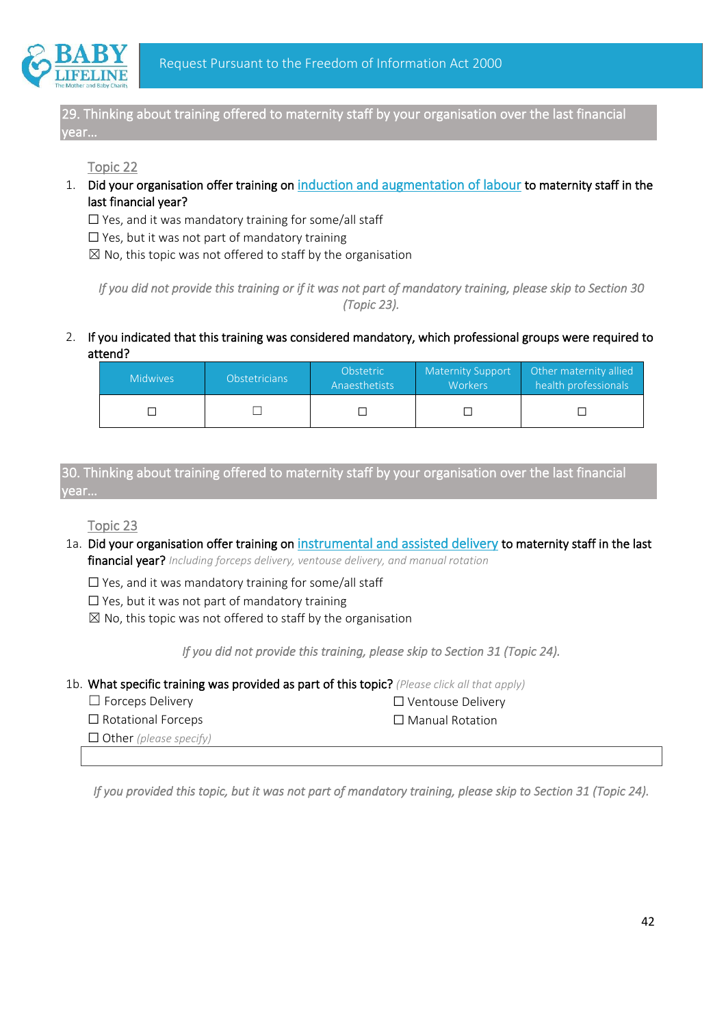

### <span id="page-41-0"></span>Topic 22

- 1. Did your organisation offer training on induction and augmentation of labour to maternity staff in the last financial year?
	- ☐ Yes, and it was mandatory training for some/all staff
	- ☐ Yes, but it was not part of mandatory training
	- $\boxtimes$  No, this topic was not offered to staff by the organisation

*If you did not provide this training or if it was not part of mandatory training, please skip to Section 30 (Topic 23).* 

2. If you indicated that this training was considered mandatory, which professional groups were required to attend?

| <b>Midwives</b> | <b>Obstetricians</b> | Obstetric<br>Anaesthetists | <b>Maternity Support</b><br><b>Workers</b> | Other maternity allied<br>health professionals |
|-----------------|----------------------|----------------------------|--------------------------------------------|------------------------------------------------|
|                 |                      |                            |                                            |                                                |

## 30. Thinking about training offered to maternity staff by your organisation over the last financial year…

### <span id="page-41-1"></span>Topic 23

- 1a. Did your organisation offer training on instrumental and assisted delivery to maternity staff in the last financial year? *Including forceps delivery, ventouse delivery, and manual rotation*
	- ☐ Yes, and it was mandatory training for some/all staff
	- ☐ Yes, but it was not part of mandatory training
	- $\boxtimes$  No, this topic was not offered to staff by the organisation

*If you did not provide this training, please skip to Section 31 (Topic 24).* 

#### 1b. What specific training was provided as part of this topic? *(Please click all that apply)*

- ☐ Forceps Delivery ☐ Rotational Forceps
- ☐ Ventouse Delivery ☐ Manual Rotation

☐ Other *(please specify)*

*If you provided this topic, but it was not part of mandatory training, please skip to Section 31 (Topic 24).*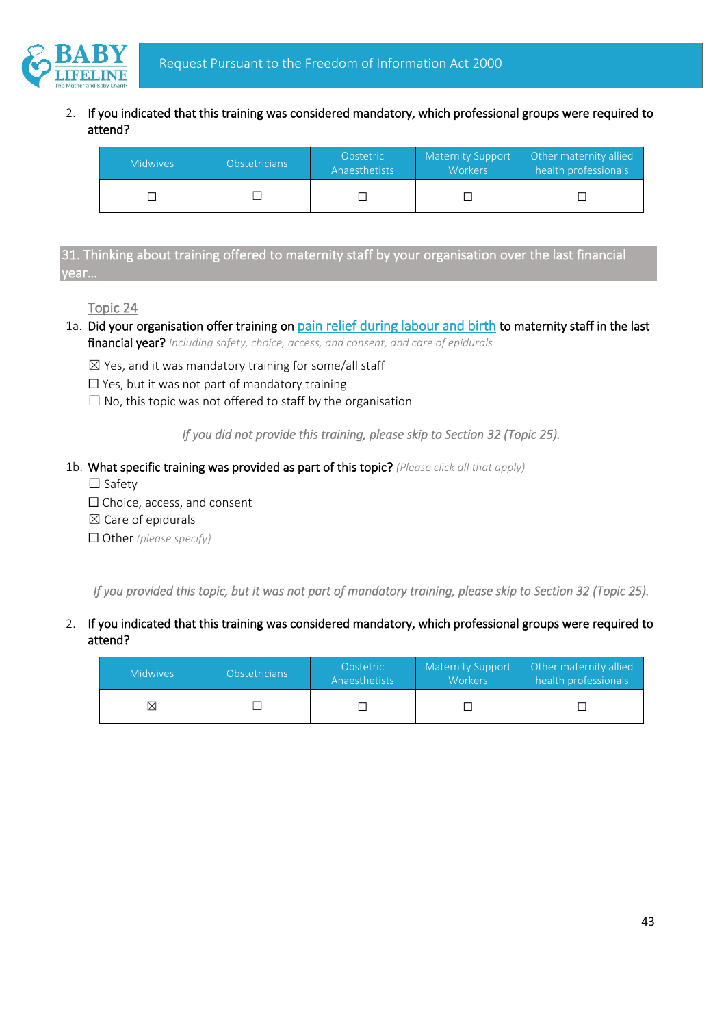

2. If you indicated that this training was considered mandatory, which professional groups were required to attend?

| <b>Midwives</b> | <b>Obstetricians</b> | Obstetric<br>Anaesthetists | <b>Maternity Support</b><br><b>Workers</b> | Other maternity allied<br>health professionals |
|-----------------|----------------------|----------------------------|--------------------------------------------|------------------------------------------------|
|                 |                      |                            |                                            |                                                |

31. Thinking about training offered to maternity staff by your organisation over the last financial ear...

<span id="page-42-0"></span>Topic 24

- 1a. Did your organisation offer training on pain relief during labour and birth to maternity staff in the last financial year? *Including safety, choice, access, and consent, and care of epidurals*
	- $\boxtimes$  Yes, and it was mandatory training for some/all staff
	- ☐ Yes, but it was not part of mandatory training
	- $\Box$  No, this topic was not offered to staff by the organisation

*If you did not provide this training, please skip to Section 32 (Topic 25).* 

#### 1b. What specific training was provided as part of this topic? *(Please click all that apply)*

□ Safety

- □ Choice, access, and consent
- ☒ Care of epidurals
- ☐ Other *(please specify)*

*If you provided this topic, but it was not part of mandatory training, please skip to Section 32 (Topic 25).* 

| <b>Midwives</b> | <b>Obstetricians</b> | Obstetric<br><b>Anaesthetists</b> | <b>Maternity Support</b><br>Workers <sup>1</sup> | Other maternity allied<br>health professionals |
|-----------------|----------------------|-----------------------------------|--------------------------------------------------|------------------------------------------------|
| ⊠               |                      |                                   |                                                  |                                                |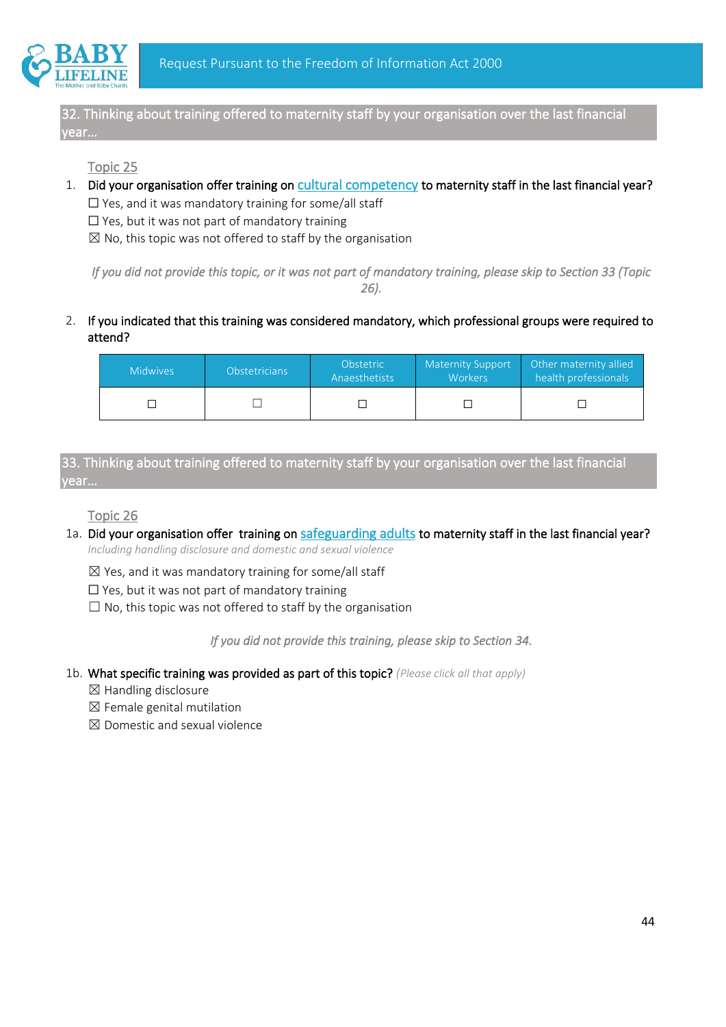

### <span id="page-43-0"></span>Topic 25

- 1. Did your organisation offer training on cultural competency to maternity staff in the last financial year? ☐ Yes, and it was mandatory training for some/all staff
	- ☐ Yes, but it was not part of mandatory training
	- $\boxtimes$  No, this topic was not offered to staff by the organisation

*If you did not provide this topic, or it was not part of mandatory training, please skip to Section 33 (Topic 26).* 

### 2. If you indicated that this training was considered mandatory, which professional groups were required to attend?

| <b>Midwives</b> | <b>Obstetricians</b> | <b>Obstetric</b><br><b>Anaesthetists</b> | <b>Maternity Support</b><br><b>Workers</b> | Other maternity allied<br>health professionals |
|-----------------|----------------------|------------------------------------------|--------------------------------------------|------------------------------------------------|
|                 |                      |                                          |                                            |                                                |

33. Thinking about training offered to maternity staff by your organisation over the last financial year…

### <span id="page-43-1"></span>Topic 26

1a. Did your organisation offer training on safeguarding adults to maternity staff in the last financial year? *Including handling disclosure and domestic and sexual violence*

- $\boxtimes$  Yes, and it was mandatory training for some/all staff
- ☐ Yes, but it was not part of mandatory training
- $\Box$  No, this topic was not offered to staff by the organisation

*If you did not provide this training, please skip to Section 34.* 

- 1b. What specific training was provided as part of this topic? *(Please click all that apply)* 
	- $<sup>2</sup>$  Handling disclosure</sup>
	- $\boxtimes$  Female genital mutilation
	- $\boxtimes$  Domestic and sexual violence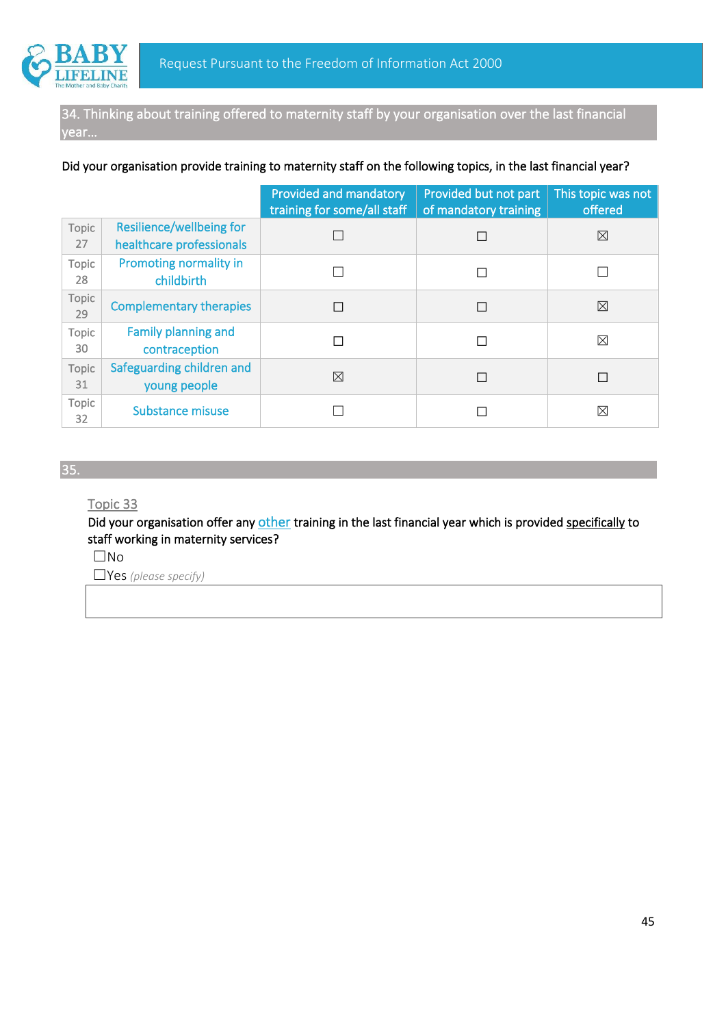

### Did your organisation provide training to maternity staff on the following topics, in the last financial year?

<span id="page-44-2"></span><span id="page-44-1"></span><span id="page-44-0"></span>

|                    |                                                      | Provided and mandatory<br>training for some/all staff | Provided but not part<br>of mandatory training | This topic was not<br>offered |
|--------------------|------------------------------------------------------|-------------------------------------------------------|------------------------------------------------|-------------------------------|
| Topic<br>27        | Resilience/wellbeing for<br>healthcare professionals |                                                       |                                                | ⊠                             |
| <b>Topic</b><br>28 | Promoting normality in<br>childbirth                 |                                                       |                                                |                               |
| <b>Topic</b><br>29 | <b>Complementary therapies</b>                       |                                                       |                                                | ⊠                             |
| <b>Topic</b><br>30 | <b>Family planning and</b><br>contraception          |                                                       |                                                | ⊠                             |
| <b>Topic</b><br>31 | Safeguarding children and<br>young people            | ⊠                                                     | Г                                              |                               |
| <b>Topic</b><br>32 | Substance misuse                                     |                                                       |                                                | $\boxtimes$                   |

### <span id="page-44-5"></span><span id="page-44-4"></span><span id="page-44-3"></span>35.

<span id="page-44-6"></span>Topic 33

Did your organisation offer any other training in the last financial year which is provided specifically to staff working in maternity services?

☐No

☐Yes *(please specify)*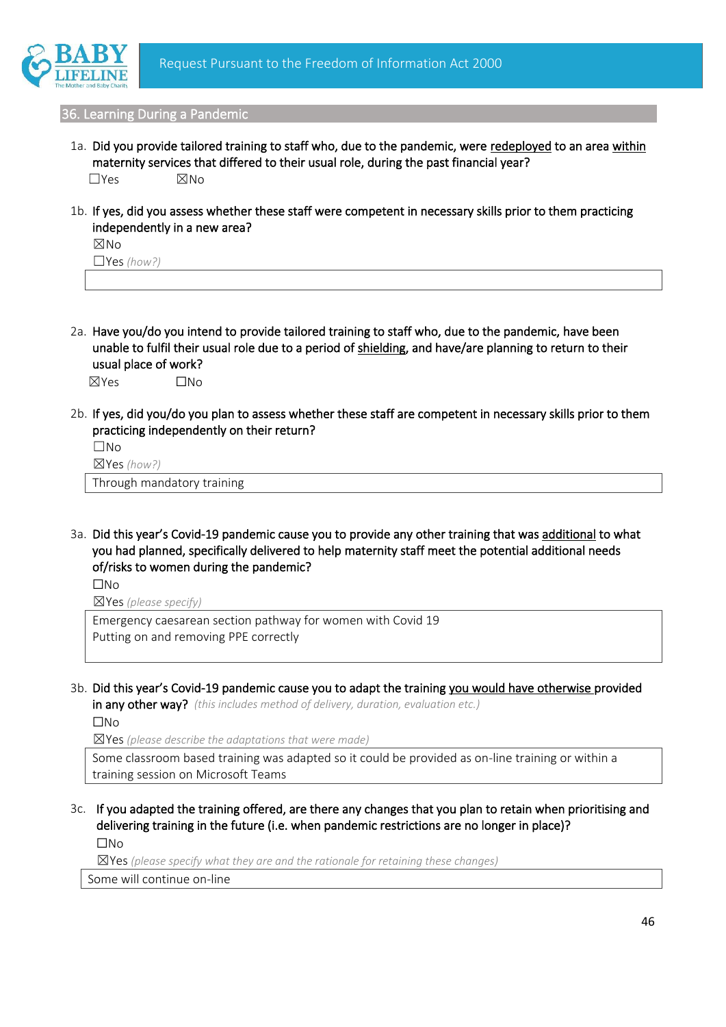

<span id="page-45-0"></span>36. Learning During a Pandemic

- 1a. Did you provide tailored training to staff who, due to the pandemic, were redeployed to an area within maternity services that differed to their usual role, during the past financial year?  $\square$ Yes  $\square$ No
- 1b. If yes, did you assess whether these staff were competent in necessary skills prior to them practicing independently in a new area?

 $\nabla$ No ☐Yes *(how?)*

2a. Have you/do you intend to provide tailored training to staff who, due to the pandemic, have been unable to fulfil their usual role due to a period of shielding, and have/are planning to return to their usual place of work?

☒Yes ☐No

2b. If yes, did you/do you plan to assess whether these staff are competent in necessary skills prior to them practicing independently on their return?

☐No ☒Yes *(how?)*

Through mandatory training

3a. Did this year's Covid-19 pandemic cause you to provide any other training that was additional to what you had planned, specifically delivered to help maternity staff meet the potential additional needs of/risks to women during the pandemic?

☐No

☒Yes *(please specify)*

Emergency caesarean section pathway for women with Covid 19 Putting on and removing PPE correctly

3b. Did this year's Covid-19 pandemic cause you to adapt the training you would have otherwise provided

in any other way? *(this includes method of delivery, duration, evaluation etc.)* ☐No

☒Yes *(please describe the adaptations that were made)*

Some classroom based training was adapted so it could be provided as on-line training or within a training session on Microsoft Teams

3c. If you adapted the training offered, are there any changes that you plan to retain when prioritising and delivering training in the future (i.e. when pandemic restrictions are no longer in place)?

☐No

☒Yes *(please specify what they are and the rationale for retaining these changes)*

Some will continue on-line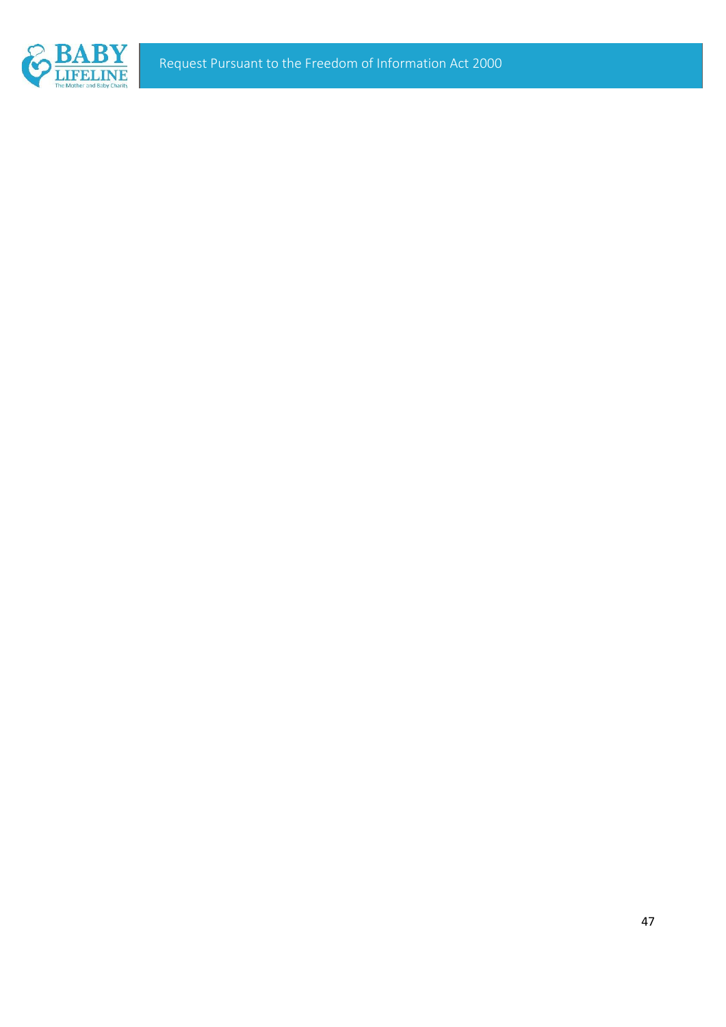